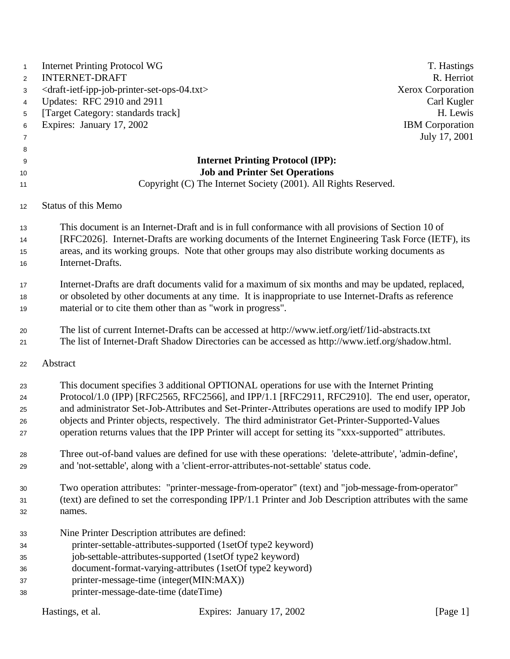| 1              | <b>Internet Printing Protocol WG</b>                                                    |                                                                                                          | T. Hastings            |
|----------------|-----------------------------------------------------------------------------------------|----------------------------------------------------------------------------------------------------------|------------------------|
| $\overline{2}$ | <b>INTERNET-DRAFT</b>                                                                   |                                                                                                          | R. Herriot             |
| 3              | <draft-ietf-ipp-job-printer-set-ops-04.txt></draft-ietf-ipp-job-printer-set-ops-04.txt> |                                                                                                          | Xerox Corporation      |
| 4              | Updates: RFC 2910 and 2911                                                              |                                                                                                          | Carl Kugler            |
| 5              | [Target Category: standards track]                                                      |                                                                                                          | H. Lewis               |
| 6              | Expires: January 17, 2002                                                               |                                                                                                          | <b>IBM</b> Corporation |
| $\overline{7}$ |                                                                                         |                                                                                                          | July 17, 2001          |
| 8              |                                                                                         |                                                                                                          |                        |
| 9              |                                                                                         | <b>Internet Printing Protocol (IPP):</b>                                                                 |                        |
| 10             |                                                                                         | <b>Job and Printer Set Operations</b>                                                                    |                        |
| 11             |                                                                                         | Copyright (C) The Internet Society (2001). All Rights Reserved.                                          |                        |
| 12             | Status of this Memo                                                                     |                                                                                                          |                        |
| 13             |                                                                                         | This document is an Internet-Draft and is in full conformance with all provisions of Section 10 of       |                        |
| 14             |                                                                                         | [RFC2026]. Internet-Drafts are working documents of the Internet Engineering Task Force (IETF), its      |                        |
| 15             |                                                                                         | areas, and its working groups. Note that other groups may also distribute working documents as           |                        |
| 16             | Internet-Drafts.                                                                        |                                                                                                          |                        |
| 17             |                                                                                         | Internet-Drafts are draft documents valid for a maximum of six months and may be updated, replaced,      |                        |
| 18             |                                                                                         | or obsoleted by other documents at any time. It is inappropriate to use Internet-Drafts as reference     |                        |
| 19             |                                                                                         | material or to cite them other than as "work in progress".                                               |                        |
| 20             |                                                                                         | The list of current Internet-Drafts can be accessed at http://www.ietf.org/ietf/1id-abstracts.txt        |                        |
| 21             |                                                                                         | The list of Internet-Draft Shadow Directories can be accessed as http://www.ietf.org/shadow.html.        |                        |
| 22             | Abstract                                                                                |                                                                                                          |                        |
| 23             |                                                                                         | This document specifies 3 additional OPTIONAL operations for use with the Internet Printing              |                        |
| 24             |                                                                                         | Protocol/1.0 (IPP) [RFC2565, RFC2566], and IPP/1.1 [RFC2911, RFC2910]. The end user, operator,           |                        |
| 25             |                                                                                         | and administrator Set-Job-Attributes and Set-Printer-Attributes operations are used to modify IPP Job    |                        |
| 26             |                                                                                         | objects and Printer objects, respectively. The third administrator Get-Printer-Supported-Values          |                        |
| 27             |                                                                                         | operation returns values that the IPP Printer will accept for setting its "xxx-supported" attributes.    |                        |
| 28             |                                                                                         | Three out-of-band values are defined for use with these operations: 'delete-attribute', 'admin-define',  |                        |
| 29             |                                                                                         | and 'not-settable', along with a 'client-error-attributes-not-settable' status code.                     |                        |
| 30             |                                                                                         | Two operation attributes: "printer-message-from-operator" (text) and "job-message-from-operator"         |                        |
| 31             |                                                                                         | (text) are defined to set the corresponding IPP/1.1 Printer and Job Description attributes with the same |                        |
| 32             | names.                                                                                  |                                                                                                          |                        |
| 33             |                                                                                         | Nine Printer Description attributes are defined:                                                         |                        |
| 34             |                                                                                         | printer-settable-attributes-supported (1setOf type2 keyword)                                             |                        |
| 35             |                                                                                         | job-settable-attributes-supported (1setOf type2 keyword)                                                 |                        |
| 36             |                                                                                         | document-format-varying-attributes (1setOf type2 keyword)                                                |                        |
| 37             |                                                                                         | printer-message-time (integer(MIN:MAX))                                                                  |                        |
| 38             |                                                                                         | printer-message-date-time (dateTime)                                                                     |                        |
|                | Hastings, et al.                                                                        | Expires: January 17, 2002                                                                                | [Page $1$ ]            |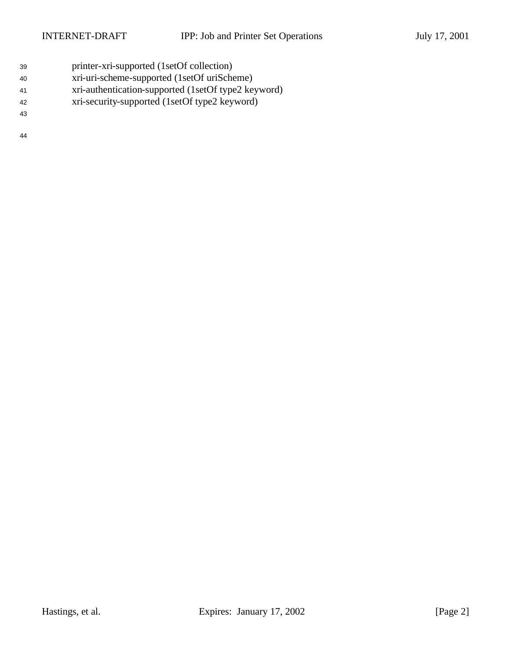- printer-xri-supported (1setOf collection)
- xri-uri-scheme-supported (1setOf uriScheme)
- xri-authentication-supported (1setOf type2 keyword)
- xri-security-supported (1setOf type2 keyword)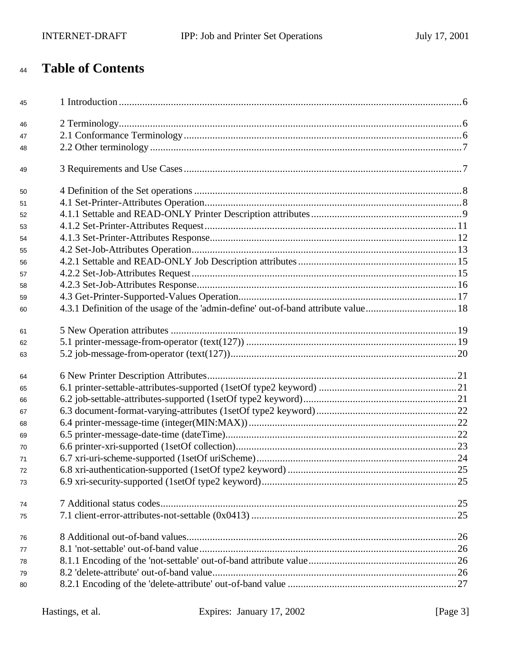# **Table of Contents**

| 45 |  |
|----|--|
| 46 |  |
| 47 |  |
| 48 |  |
| 49 |  |
| 50 |  |
| 51 |  |
| 52 |  |
| 53 |  |
| 54 |  |
| 55 |  |
| 56 |  |
| 57 |  |
| 58 |  |
| 59 |  |
| 60 |  |
| 61 |  |
| 62 |  |
| 63 |  |
| 64 |  |
| 65 |  |
| 66 |  |
| 67 |  |
| 68 |  |
| 69 |  |
| 70 |  |
| 71 |  |
| 72 |  |
| 73 |  |
| 74 |  |
| 75 |  |
| 76 |  |
| 77 |  |
| 78 |  |
| 79 |  |
| 80 |  |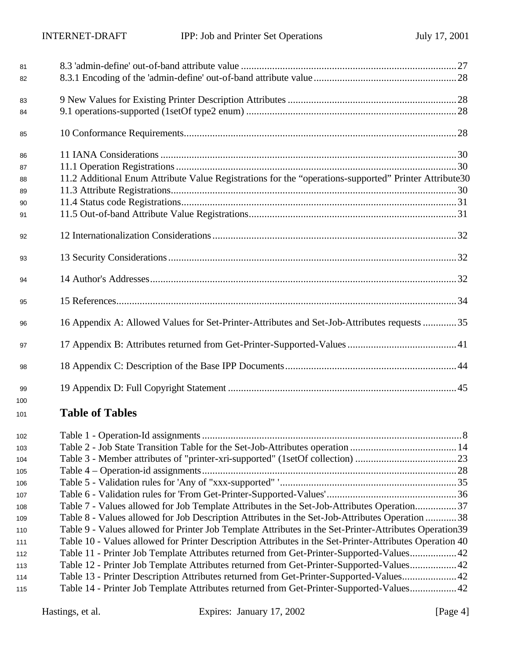| 81  |                                                                                                         |  |
|-----|---------------------------------------------------------------------------------------------------------|--|
| 82  |                                                                                                         |  |
| 83  |                                                                                                         |  |
| 84  |                                                                                                         |  |
|     |                                                                                                         |  |
| 85  |                                                                                                         |  |
| 86  |                                                                                                         |  |
| 87  |                                                                                                         |  |
| 88  | 11.2 Additional Enum Attribute Value Registrations for the "operations-supported" Printer Attribute30   |  |
| 89  |                                                                                                         |  |
| 90  |                                                                                                         |  |
| 91  |                                                                                                         |  |
| 92  |                                                                                                         |  |
| 93  |                                                                                                         |  |
| 94  |                                                                                                         |  |
| 95  |                                                                                                         |  |
| 96  | 16 Appendix A: Allowed Values for Set-Printer-Attributes and Set-Job-Attributes requests 35             |  |
| 97  |                                                                                                         |  |
| 98  |                                                                                                         |  |
| 99  |                                                                                                         |  |
| 100 |                                                                                                         |  |
| 101 | <b>Table of Tables</b>                                                                                  |  |
| 102 |                                                                                                         |  |
| 103 |                                                                                                         |  |
| 104 |                                                                                                         |  |
| 105 |                                                                                                         |  |
| 106 |                                                                                                         |  |
| 107 |                                                                                                         |  |
| 108 | Table 7 - Values allowed for Job Template Attributes in the Set-Job-Attributes Operation37              |  |
| 109 | Table 8 - Values allowed for Job Description Attributes in the Set-Job-Attributes Operation 38          |  |
| 110 | Table 9 - Values allowed for Printer Job Template Attributes in the Set-Printer-Attributes Operation39  |  |
| 111 | Table 10 - Values allowed for Printer Description Attributes in the Set-Printer-Attributes Operation 40 |  |
| 112 | Table 11 - Printer Job Template Attributes returned from Get-Printer-Supported-Values42                 |  |
| 113 | Table 12 - Printer Job Template Attributes returned from Get-Printer-Supported-Values 42                |  |
| 114 | Table 13 - Printer Description Attributes returned from Get-Printer-Supported-Values42                  |  |
| 115 | Table 14 - Printer Job Template Attributes returned from Get-Printer-Supported-Values 42                |  |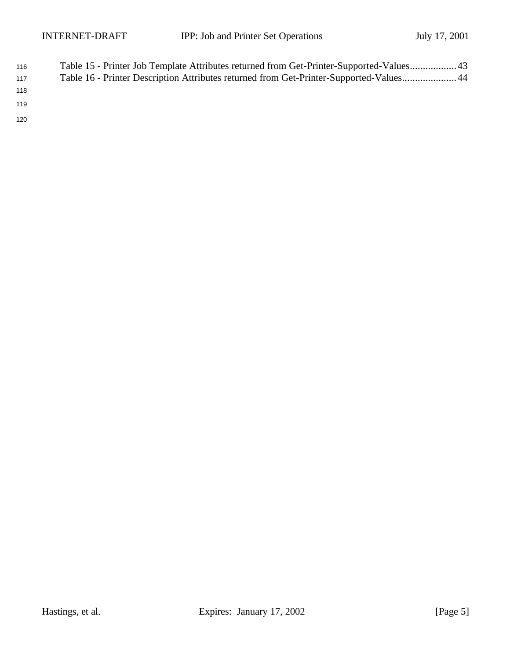| 116 | Table 15 - Printer Job Template Attributes returned from Get-Printer-Supported-Values 43 |
|-----|------------------------------------------------------------------------------------------|
| 117 | Table 16 - Printer Description Attributes returned from Get-Printer-Supported-Values 44  |
| 118 |                                                                                          |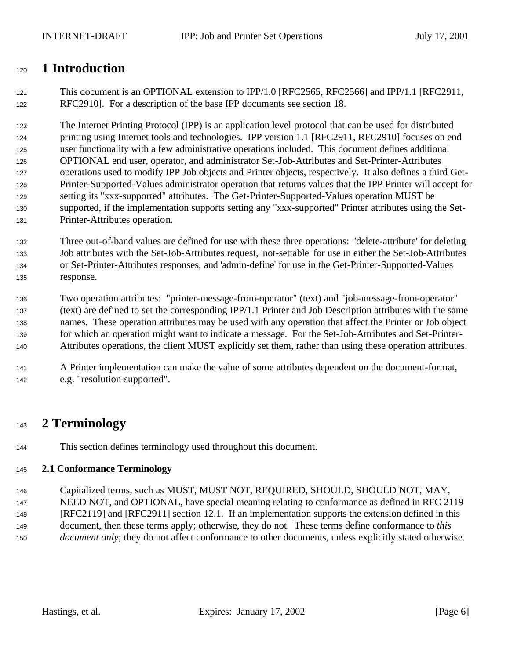# **1 Introduction**

 This document is an OPTIONAL extension to IPP/1.0 [RFC2565, RFC2566] and IPP/1.1 [RFC2911, RFC2910]. For a description of the base IPP documents see section 18.

 The Internet Printing Protocol (IPP) is an application level protocol that can be used for distributed printing using Internet tools and technologies. IPP version 1.1 [RFC2911, RFC2910] focuses on end user functionality with a few administrative operations included. This document defines additional OPTIONAL end user, operator, and administrator Set-Job-Attributes and Set-Printer-Attributes operations used to modify IPP Job objects and Printer objects, respectively. It also defines a third Get- Printer-Supported-Values administrator operation that returns values that the IPP Printer will accept for setting its "xxx-supported" attributes. The Get-Printer-Supported-Values operation MUST be supported, if the implementation supports setting any "xxx-supported" Printer attributes using the Set-Printer-Attributes operation.

 Three out-of-band values are defined for use with these three operations: 'delete-attribute' for deleting Job attributes with the Set-Job-Attributes request, 'not-settable' for use in either the Set-Job-Attributes or Set-Printer-Attributes responses, and 'admin-define' for use in the Get-Printer-Supported-Values response.

 Two operation attributes: "printer-message-from-operator" (text) and "job-message-from-operator" (text) are defined to set the corresponding IPP/1.1 Printer and Job Description attributes with the same names. These operation attributes may be used with any operation that affect the Printer or Job object for which an operation might want to indicate a message. For the Set-Job-Attributes and Set-Printer-Attributes operations, the client MUST explicitly set them, rather than using these operation attributes.

### A Printer implementation can make the value of some attributes dependent on the document-format, e.g. "resolution-supported".

# **2 Terminology**

This section defines terminology used throughout this document.

### **2.1 Conformance Terminology**

Capitalized terms, such as MUST, MUST NOT, REQUIRED, SHOULD, SHOULD NOT, MAY,

NEED NOT, and OPTIONAL, have special meaning relating to conformance as defined in RFC 2119

- [RFC2119] and [RFC2911] section 12.1. If an implementation supports the extension defined in this document, then these terms apply; otherwise, they do not. These terms define conformance to *this*
- *document only*; they do not affect conformance to other documents, unless explicitly stated otherwise.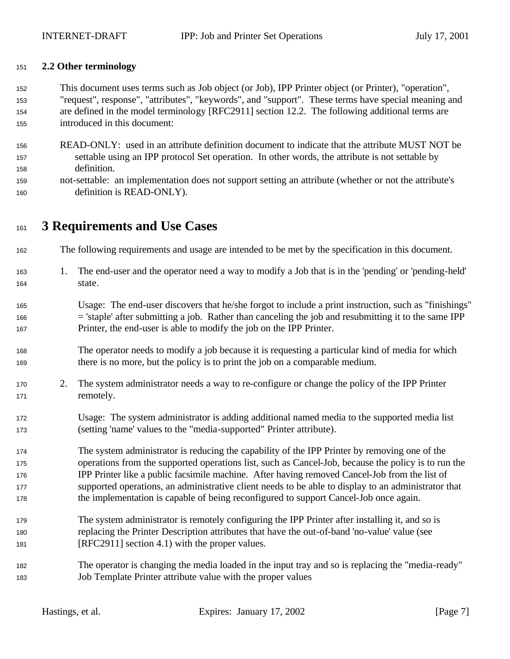#### **2.2 Other terminology**

 This document uses terms such as Job object (or Job), IPP Printer object (or Printer), "operation", "request", response", "attributes", "keywords", and "support". These terms have special meaning and are defined in the model terminology [RFC2911] section 12.2. The following additional terms are introduced in this document:

- READ-ONLY: used in an attribute definition document to indicate that the attribute MUST NOT be settable using an IPP protocol Set operation. In other words, the attribute is not settable by definition.
- not-settable: an implementation does not support setting an attribute (whether or not the attribute's definition is READ-ONLY).

# **3 Requirements and Use Cases**

- The following requirements and usage are intended to be met by the specification in this document.
- 1. The end-user and the operator need a way to modify a Job that is in the 'pending' or 'pending-held' state.
- Usage: The end-user discovers that he/she forgot to include a print instruction, such as "finishings" = 'staple' after submitting a job. Rather than canceling the job and resubmitting it to the same IPP Printer, the end-user is able to modify the job on the IPP Printer.
- The operator needs to modify a job because it is requesting a particular kind of media for which there is no more, but the policy is to print the job on a comparable medium.
- 2. The system administrator needs a way to re-configure or change the policy of the IPP Printer 171 remotely.
- Usage: The system administrator is adding additional named media to the supported media list (setting 'name' values to the "media-supported" Printer attribute).
- The system administrator is reducing the capability of the IPP Printer by removing one of the operations from the supported operations list, such as Cancel-Job, because the policy is to run the IPP Printer like a public facsimile machine. After having removed Cancel-Job from the list of supported operations, an administrative client needs to be able to display to an administrator that the implementation is capable of being reconfigured to support Cancel-Job once again.
- The system administrator is remotely configuring the IPP Printer after installing it, and so is replacing the Printer Description attributes that have the out-of-band 'no-value' value (see [RFC2911] section 4.1) with the proper values.
- The operator is changing the media loaded in the input tray and so is replacing the "media-ready" Job Template Printer attribute value with the proper values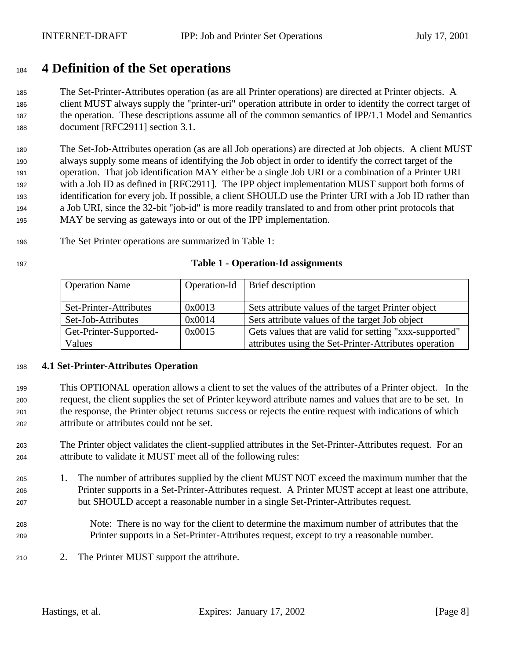# **4 Definition of the Set operations**

 The Set-Printer-Attributes operation (as are all Printer operations) are directed at Printer objects. A client MUST always supply the "printer-uri" operation attribute in order to identify the correct target of the operation. These descriptions assume all of the common semantics of IPP/1.1 Model and Semantics document [RFC2911] section 3.1.

 The Set-Job-Attributes operation (as are all Job operations) are directed at Job objects. A client MUST always supply some means of identifying the Job object in order to identify the correct target of the operation. That job identification MAY either be a single Job URI or a combination of a Printer URI with a Job ID as defined in [RFC2911]. The IPP object implementation MUST support both forms of identification for every job. If possible, a client SHOULD use the Printer URI with a Job ID rather than a Job URI, since the 32-bit "job-id" is more readily translated to and from other print protocols that MAY be serving as gateways into or out of the IPP implementation.

The Set Printer operations are summarized in Table 1:

#### **Table 1 - Operation-Id assignments**

| <b>Operation Name</b>  | Operation-Id | Brief description                                      |
|------------------------|--------------|--------------------------------------------------------|
|                        |              |                                                        |
| Set-Printer-Attributes | 0x0013       | Sets attribute values of the target Printer object     |
| Set-Job-Attributes     | 0x0014       | Sets attribute values of the target Job object         |
| Get-Printer-Supported- | 0x0015       | Gets values that are valid for setting "xxx-supported" |
| Values                 |              | attributes using the Set-Printer-Attributes operation  |

#### **4.1 Set-Printer-Attributes Operation**

- This OPTIONAL operation allows a client to set the values of the attributes of a Printer object. In the request, the client supplies the set of Printer keyword attribute names and values that are to be set. In the response, the Printer object returns success or rejects the entire request with indications of which attribute or attributes could not be set.
- The Printer object validates the client-supplied attributes in the Set-Printer-Attributes request. For an attribute to validate it MUST meet all of the following rules:
- 1. The number of attributes supplied by the client MUST NOT exceed the maximum number that the Printer supports in a Set-Printer-Attributes request. A Printer MUST accept at least one attribute, but SHOULD accept a reasonable number in a single Set-Printer-Attributes request.
- Note: There is no way for the client to determine the maximum number of attributes that the Printer supports in a Set-Printer-Attributes request, except to try a reasonable number.
- 2. The Printer MUST support the attribute.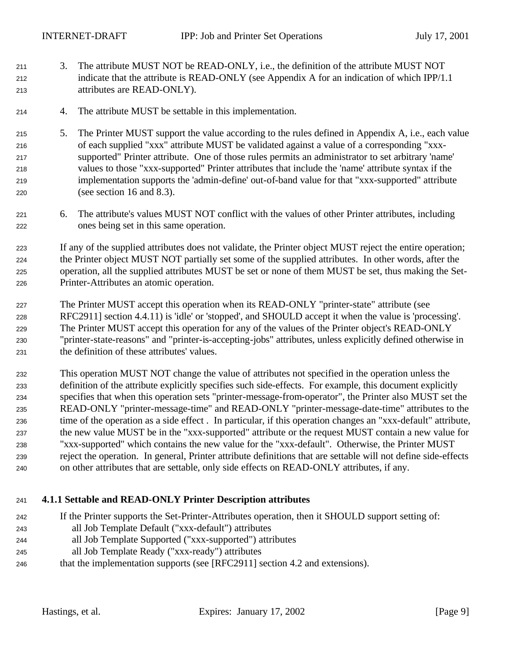- 3. The attribute MUST NOT be READ-ONLY, i.e., the definition of the attribute MUST NOT indicate that the attribute is READ-ONLY (see Appendix A for an indication of which IPP/1.1 attributes are READ-ONLY).
- 4. The attribute MUST be settable in this implementation.
- 5. The Printer MUST support the value according to the rules defined in Appendix A, i.e., each value of each supplied "xxx" attribute MUST be validated against a value of a corresponding "xxx- supported" Printer attribute. One of those rules permits an administrator to set arbitrary 'name' values to those "xxx-supported" Printer attributes that include the 'name' attribute syntax if the implementation supports the 'admin-define' out-of-band value for that "xxx-supported" attribute (see section 16 and 8.3).
- 6. The attribute's values MUST NOT conflict with the values of other Printer attributes, including ones being set in this same operation.
- If any of the supplied attributes does not validate, the Printer object MUST reject the entire operation; the Printer object MUST NOT partially set some of the supplied attributes. In other words, after the operation, all the supplied attributes MUST be set or none of them MUST be set, thus making the Set-Printer-Attributes an atomic operation.
- The Printer MUST accept this operation when its READ-ONLY "printer-state" attribute (see RFC2911] section 4.4.11) is 'idle' or 'stopped', and SHOULD accept it when the value is 'processing'. The Printer MUST accept this operation for any of the values of the Printer object's READ-ONLY "printer-state-reasons" and "printer-is-accepting-jobs" attributes, unless explicitly defined otherwise in the definition of these attributes' values.
- This operation MUST NOT change the value of attributes not specified in the operation unless the definition of the attribute explicitly specifies such side-effects. For example, this document explicitly specifies that when this operation sets "printer-message-from-operator", the Printer also MUST set the READ-ONLY "printer-message-time" and READ-ONLY "printer-message-date-time" attributes to the time of the operation as a side effect . In particular, if this operation changes an "xxx-default" attribute, the new value MUST be in the "xxx-supported" attribute or the request MUST contain a new value for "xxx-supported" which contains the new value for the "xxx-default". Otherwise, the Printer MUST reject the operation. In general, Printer attribute definitions that are settable will not define side-effects on other attributes that are settable, only side effects on READ-ONLY attributes, if any.

### **4.1.1 Settable and READ-ONLY Printer Description attributes**

- If the Printer supports the Set-Printer-Attributes operation, then it SHOULD support setting of:
- all Job Template Default ("xxx-default") attributes
- all Job Template Supported ("xxx-supported") attributes
- all Job Template Ready ("xxx-ready") attributes
- that the implementation supports (see [RFC2911] section 4.2 and extensions).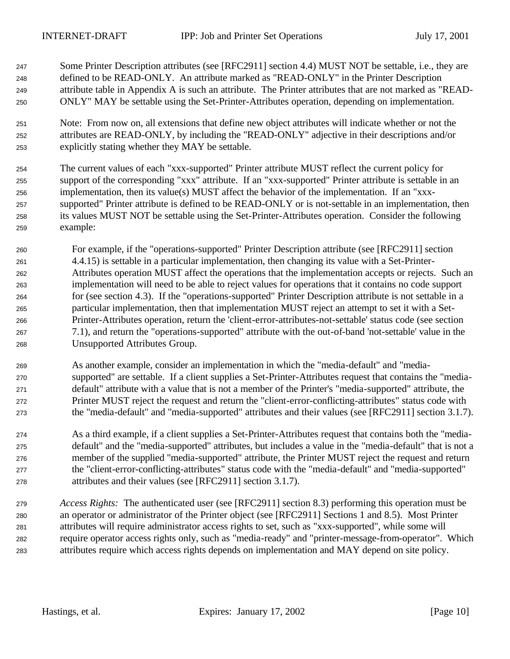- Some Printer Description attributes (see [RFC2911] section 4.4) MUST NOT be settable, i.e., they are defined to be READ-ONLY. An attribute marked as "READ-ONLY" in the Printer Description attribute table in Appendix A is such an attribute. The Printer attributes that are not marked as "READ-ONLY" MAY be settable using the Set-Printer-Attributes operation, depending on implementation.
- Note: From now on, all extensions that define new object attributes will indicate whether or not the attributes are READ-ONLY, by including the "READ-ONLY" adjective in their descriptions and/or explicitly stating whether they MAY be settable.
- The current values of each "xxx-supported" Printer attribute MUST reflect the current policy for support of the corresponding "xxx" attribute. If an "xxx-supported" Printer attribute is settable in an implementation, then its value(s) MUST affect the behavior of the implementation. If an "xxx- supported" Printer attribute is defined to be READ-ONLY or is not-settable in an implementation, then its values MUST NOT be settable using the Set-Printer-Attributes operation. Consider the following example:
- For example, if the "operations-supported" Printer Description attribute (see [RFC2911] section 4.4.15) is settable in a particular implementation, then changing its value with a Set-Printer- Attributes operation MUST affect the operations that the implementation accepts or rejects. Such an implementation will need to be able to reject values for operations that it contains no code support for (see section 4.3). If the "operations-supported" Printer Description attribute is not settable in a particular implementation, then that implementation MUST reject an attempt to set it with a Set- Printer-Attributes operation, return the 'client-error-attributes-not-settable' status code (see section 7.1), and return the "operations-supported" attribute with the out-of-band 'not-settable' value in the Unsupported Attributes Group.
- As another example, consider an implementation in which the "media-default" and "media- supported" are settable. If a client supplies a Set-Printer-Attributes request that contains the "media- default" attribute with a value that is not a member of the Printer's "media-supported" attribute, the Printer MUST reject the request and return the "client-error-conflicting-attributes" status code with the "media-default" and "media-supported" attributes and their values (see [RFC2911] section 3.1.7).
- As a third example, if a client supplies a Set-Printer-Attributes request that contains both the "media- default" and the "media-supported" attributes, but includes a value in the "media-default" that is not a member of the supplied "media-supported" attribute, the Printer MUST reject the request and return the "client-error-conflicting-attributes" status code with the "media-default" and "media-supported" attributes and their values (see [RFC2911] section 3.1.7).
- *Access Rights:*The authenticated user (see [RFC2911] section 8.3) performing this operation must be an operator or administrator of the Printer object (see [RFC2911] Sections 1 and 8.5). Most Printer attributes will require administrator access rights to set, such as "xxx-supported", while some will require operator access rights only, such as "media-ready" and "printer-message-from-operator". Which attributes require which access rights depends on implementation and MAY depend on site policy.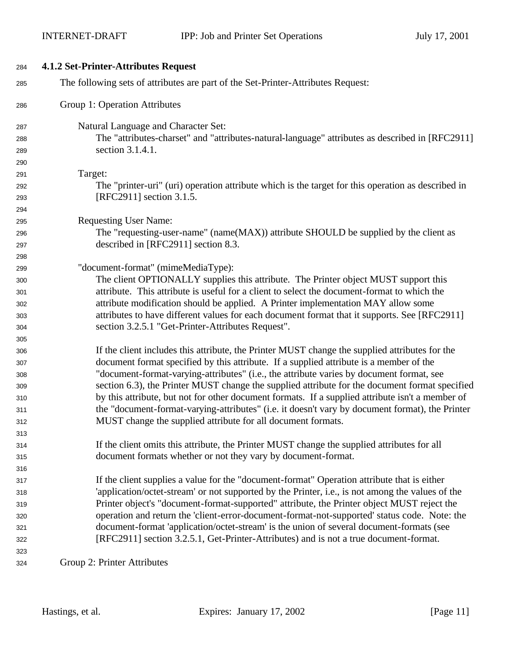| 284 | 4.1.2 Set-Printer-Attributes Request                                                               |
|-----|----------------------------------------------------------------------------------------------------|
| 285 | The following sets of attributes are part of the Set-Printer-Attributes Request:                   |
| 286 | Group 1: Operation Attributes                                                                      |
| 287 | Natural Language and Character Set:                                                                |
| 288 | The "attributes-charset" and "attributes-natural-language" attributes as described in [RFC2911]    |
| 289 | section 3.1.4.1.                                                                                   |
| 290 |                                                                                                    |
| 291 | Target:                                                                                            |
| 292 | The "printer-uri" (uri) operation attribute which is the target for this operation as described in |
| 293 | [RFC2911] section 3.1.5.                                                                           |
| 294 |                                                                                                    |
| 295 | <b>Requesting User Name:</b>                                                                       |
| 296 | The "requesting-user-name" (name(MAX)) attribute SHOULD be supplied by the client as               |
| 297 | described in [RFC2911] section 8.3.                                                                |
| 298 |                                                                                                    |
| 299 | "document-format" (mimeMediaType):                                                                 |
| 300 | The client OPTIONALLY supplies this attribute. The Printer object MUST support this                |
| 301 | attribute. This attribute is useful for a client to select the document-format to which the        |
| 302 | attribute modification should be applied. A Printer implementation MAY allow some                  |
| 303 | attributes to have different values for each document format that it supports. See [RFC2911]       |
| 304 | section 3.2.5.1 "Get-Printer-Attributes Request".                                                  |
| 305 |                                                                                                    |
| 306 | If the client includes this attribute, the Printer MUST change the supplied attributes for the     |
| 307 | document format specified by this attribute. If a supplied attribute is a member of the            |
| 308 | "document-format-varying-attributes" (i.e., the attribute varies by document format, see           |
| 309 | section 6.3), the Printer MUST change the supplied attribute for the document format specified     |
| 310 | by this attribute, but not for other document formats. If a supplied attribute isn't a member of   |
| 311 | the "document-format-varying-attributes" (i.e. it doesn't vary by document format), the Printer    |
| 312 | MUST change the supplied attribute for all document formats.                                       |
| 313 |                                                                                                    |
| 314 | If the client omits this attribute, the Printer MUST change the supplied attributes for all        |
| 315 | document formats whether or not they vary by document-format.                                      |
| 316 |                                                                                                    |
| 317 | If the client supplies a value for the "document-format" Operation attribute that is either        |
| 318 | 'application/octet-stream' or not supported by the Printer, i.e., is not among the values of the   |
| 319 | Printer object's "document-format-supported" attribute, the Printer object MUST reject the         |
| 320 | operation and return the 'client-error-document-format-not-supported' status code. Note: the       |
| 321 | document-format 'application/octet-stream' is the union of several document-formats (see           |
| 322 | [RFC2911] section 3.2.5.1, Get-Printer-Attributes) and is not a true document-format.              |
| 323 |                                                                                                    |
| 324 | Group 2: Printer Attributes                                                                        |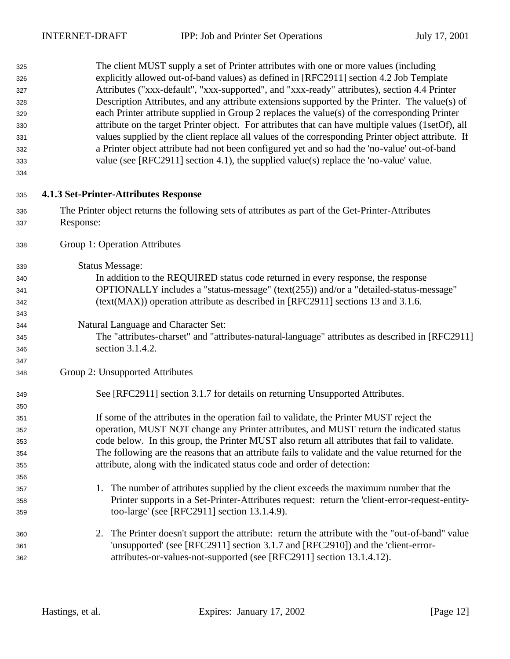| 325<br>326<br>327<br>328<br>329<br>330<br>331<br>332<br>333<br>334 | The client MUST supply a set of Printer attributes with one or more values (including<br>explicitly allowed out-of-band values) as defined in [RFC2911] section 4.2 Job Template<br>Attributes ("xxx-default", "xxx-supported", and "xxx-ready" attributes), section 4.4 Printer<br>Description Attributes, and any attribute extensions supported by the Printer. The value(s) of<br>each Printer attribute supplied in Group 2 replaces the value(s) of the corresponding Printer<br>attribute on the target Printer object. For attributes that can have multiple values (1setOf), all<br>values supplied by the client replace all values of the corresponding Printer object attribute. If<br>a Printer object attribute had not been configured yet and so had the 'no-value' out-of-band<br>value (see [RFC2911] section 4.1), the supplied value(s) replace the 'no-value' value. |
|--------------------------------------------------------------------|-------------------------------------------------------------------------------------------------------------------------------------------------------------------------------------------------------------------------------------------------------------------------------------------------------------------------------------------------------------------------------------------------------------------------------------------------------------------------------------------------------------------------------------------------------------------------------------------------------------------------------------------------------------------------------------------------------------------------------------------------------------------------------------------------------------------------------------------------------------------------------------------|
| 335                                                                | 4.1.3 Set-Printer-Attributes Response                                                                                                                                                                                                                                                                                                                                                                                                                                                                                                                                                                                                                                                                                                                                                                                                                                                     |
| 336                                                                | The Printer object returns the following sets of attributes as part of the Get-Printer-Attributes                                                                                                                                                                                                                                                                                                                                                                                                                                                                                                                                                                                                                                                                                                                                                                                         |
| 337                                                                | Response:                                                                                                                                                                                                                                                                                                                                                                                                                                                                                                                                                                                                                                                                                                                                                                                                                                                                                 |
| 338                                                                | Group 1: Operation Attributes                                                                                                                                                                                                                                                                                                                                                                                                                                                                                                                                                                                                                                                                                                                                                                                                                                                             |
| 339                                                                | <b>Status Message:</b>                                                                                                                                                                                                                                                                                                                                                                                                                                                                                                                                                                                                                                                                                                                                                                                                                                                                    |
| 340                                                                | In addition to the REQUIRED status code returned in every response, the response                                                                                                                                                                                                                                                                                                                                                                                                                                                                                                                                                                                                                                                                                                                                                                                                          |
| 341                                                                | OPTIONALLY includes a "status-message" (text(255)) and/or a "detailed-status-message"                                                                                                                                                                                                                                                                                                                                                                                                                                                                                                                                                                                                                                                                                                                                                                                                     |
| 342                                                                | (text(MAX)) operation attribute as described in [RFC2911] sections 13 and 3.1.6.                                                                                                                                                                                                                                                                                                                                                                                                                                                                                                                                                                                                                                                                                                                                                                                                          |
| 343                                                                |                                                                                                                                                                                                                                                                                                                                                                                                                                                                                                                                                                                                                                                                                                                                                                                                                                                                                           |
| 344                                                                | Natural Language and Character Set:                                                                                                                                                                                                                                                                                                                                                                                                                                                                                                                                                                                                                                                                                                                                                                                                                                                       |
| 345                                                                | The "attributes-charset" and "attributes-natural-language" attributes as described in [RFC2911]                                                                                                                                                                                                                                                                                                                                                                                                                                                                                                                                                                                                                                                                                                                                                                                           |
| 346                                                                | section 3.1.4.2.                                                                                                                                                                                                                                                                                                                                                                                                                                                                                                                                                                                                                                                                                                                                                                                                                                                                          |
| 347                                                                |                                                                                                                                                                                                                                                                                                                                                                                                                                                                                                                                                                                                                                                                                                                                                                                                                                                                                           |
| 348                                                                | Group 2: Unsupported Attributes                                                                                                                                                                                                                                                                                                                                                                                                                                                                                                                                                                                                                                                                                                                                                                                                                                                           |
| 349                                                                | See [RFC2911] section 3.1.7 for details on returning Unsupported Attributes.                                                                                                                                                                                                                                                                                                                                                                                                                                                                                                                                                                                                                                                                                                                                                                                                              |
| 350                                                                |                                                                                                                                                                                                                                                                                                                                                                                                                                                                                                                                                                                                                                                                                                                                                                                                                                                                                           |
| 351                                                                | If some of the attributes in the operation fail to validate, the Printer MUST reject the                                                                                                                                                                                                                                                                                                                                                                                                                                                                                                                                                                                                                                                                                                                                                                                                  |
| 352                                                                | operation, MUST NOT change any Printer attributes, and MUST return the indicated status                                                                                                                                                                                                                                                                                                                                                                                                                                                                                                                                                                                                                                                                                                                                                                                                   |
| 353                                                                | code below. In this group, the Printer MUST also return all attributes that fail to validate.                                                                                                                                                                                                                                                                                                                                                                                                                                                                                                                                                                                                                                                                                                                                                                                             |
| 354                                                                | The following are the reasons that an attribute fails to validate and the value returned for the                                                                                                                                                                                                                                                                                                                                                                                                                                                                                                                                                                                                                                                                                                                                                                                          |
| 355                                                                | attribute, along with the indicated status code and order of detection:                                                                                                                                                                                                                                                                                                                                                                                                                                                                                                                                                                                                                                                                                                                                                                                                                   |
| 356                                                                |                                                                                                                                                                                                                                                                                                                                                                                                                                                                                                                                                                                                                                                                                                                                                                                                                                                                                           |
| 357                                                                | 1. The number of attributes supplied by the client exceeds the maximum number that the                                                                                                                                                                                                                                                                                                                                                                                                                                                                                                                                                                                                                                                                                                                                                                                                    |
| 358                                                                | Printer supports in a Set-Printer-Attributes request: return the 'client-error-request-entity-                                                                                                                                                                                                                                                                                                                                                                                                                                                                                                                                                                                                                                                                                                                                                                                            |
| 359                                                                | too-large' (see [RFC2911] section 13.1.4.9).                                                                                                                                                                                                                                                                                                                                                                                                                                                                                                                                                                                                                                                                                                                                                                                                                                              |
| 360                                                                | 2. The Printer doesn't support the attribute: return the attribute with the "out-of-band" value                                                                                                                                                                                                                                                                                                                                                                                                                                                                                                                                                                                                                                                                                                                                                                                           |
| 361                                                                | 'unsupported' (see [RFC2911] section 3.1.7 and [RFC2910]) and the 'client-error-                                                                                                                                                                                                                                                                                                                                                                                                                                                                                                                                                                                                                                                                                                                                                                                                          |
| 362                                                                | attributes-or-values-not-supported (see [RFC2911] section 13.1.4.12).                                                                                                                                                                                                                                                                                                                                                                                                                                                                                                                                                                                                                                                                                                                                                                                                                     |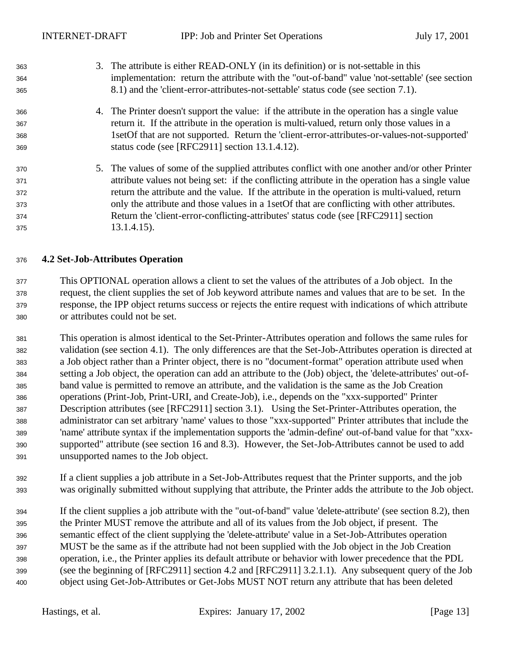3. The attribute is either READ-ONLY (in its definition) or is not-settable in this implementation: return the attribute with the "out-of-band" value 'not-settable' (see section 8.1) and the 'client-error-attributes-not-settable' status code (see section 7.1). 4. The Printer doesn't support the value: if the attribute in the operation has a single value return it. If the attribute in the operation is multi-valued, return only those values in a 1setOf that are not supported. Return the 'client-error-attributes-or-values-not-supported' status code (see [RFC2911] section 13.1.4.12). 5. The values of some of the supplied attributes conflict with one another and/or other Printer attribute values not being set: if the conflicting attribute in the operation has a single value return the attribute and the value. If the attribute in the operation is multi-valued, return only the attribute and those values in a 1setOf that are conflicting with other attributes. Return the 'client-error-conflicting-attributes' status code (see [RFC2911] section 13.1.4.15).

#### **4.2 Set-Job-Attributes Operation**

 This OPTIONAL operation allows a client to set the values of the attributes of a Job object. In the request, the client supplies the set of Job keyword attribute names and values that are to be set. In the response, the IPP object returns success or rejects the entire request with indications of which attribute or attributes could not be set.

- This operation is almost identical to the Set-Printer-Attributes operation and follows the same rules for validation (see section 4.1). The only differences are that the Set-Job-Attributes operation is directed at a Job object rather than a Printer object, there is no "document-format" operation attribute used when setting a Job object, the operation can add an attribute to the (Job) object, the 'delete-attributes' out-of- band value is permitted to remove an attribute, and the validation is the same as the Job Creation operations (Print-Job, Print-URI, and Create-Job), i.e., depends on the "xxx-supported" Printer Description attributes (see [RFC2911] section 3.1). Using the Set-Printer-Attributes operation, the administrator can set arbitrary 'name' values to those "xxx-supported" Printer attributes that include the 'name' attribute syntax if the implementation supports the 'admin-define' out-of-band value for that "xxx- supported" attribute (see section 16 and 8.3). However, the Set-Job-Attributes cannot be used to add unsupported names to the Job object.
- If a client supplies a job attribute in a Set-Job-Attributes request that the Printer supports, and the job was originally submitted without supplying that attribute, the Printer adds the attribute to the Job object.
- If the client supplies a job attribute with the "out-of-band" value 'delete-attribute' (see section 8.2), then the Printer MUST remove the attribute and all of its values from the Job object, if present. The semantic effect of the client supplying the 'delete-attribute' value in a Set-Job-Attributes operation MUST be the same as if the attribute had not been supplied with the Job object in the Job Creation operation, i.e., the Printer applies its default attribute or behavior with lower precedence that the PDL (see the beginning of [RFC2911] section 4.2 and [RFC2911] 3.2.1.1). Any subsequent query of the Job object using Get-Job-Attributes or Get-Jobs MUST NOT return any attribute that has been deleted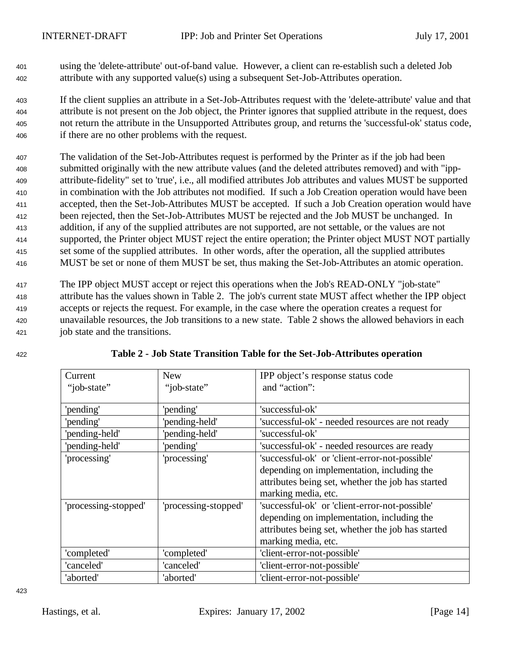- <sup>401</sup> using the 'delete-attribute' out-of-band value. However, a client can re-establish such a deleted Job <sup>402</sup> attribute with any supported value(s) using a subsequent Set-Job-Attributes operation.
- <sup>403</sup> If the client supplies an attribute in a Set-Job-Attributes request with the 'delete-attribute' value and that <sup>404</sup> attribute is not present on the Job object, the Printer ignores that supplied attribute in the request, does <sup>405</sup> not return the attribute in the Unsupported Attributes group, and returns the 'successful-ok' status code, <sup>406</sup> if there are no other problems with the request.
- <sup>407</sup> The validation of the Set-Job-Attributes request is performed by the Printer as if the job had been <sup>408</sup> submitted originally with the new attribute values (and the deleted attributes removed) and with "ipp-<sup>409</sup> attribute-fidelity" set to 'true', i.e., all modified attributes Job attributes and values MUST be supported <sup>410</sup> in combination with the Job attributes not modified. If such a Job Creation operation would have been <sup>411</sup> accepted, then the Set-Job-Attributes MUST be accepted. If such a Job Creation operation would have <sup>412</sup> been rejected, then the Set-Job-Attributes MUST be rejected and the Job MUST be unchanged. In <sup>413</sup> addition, if any of the supplied attributes are not supported, are not settable, or the values are not <sup>414</sup> supported, the Printer object MUST reject the entire operation; the Printer object MUST NOT partially <sup>415</sup> set some of the supplied attributes. In other words, after the operation, all the supplied attributes <sup>416</sup> MUST be set or none of them MUST be set, thus making the Set-Job-Attributes an atomic operation.
- <sup>417</sup> The IPP object MUST accept or reject this operations when the Job's READ-ONLY "job-state" <sup>418</sup> attribute has the values shown in Table 2. The job's current state MUST affect whether the IPP object <sup>419</sup> accepts or rejects the request. For example, in the case where the operation creates a request for <sup>420</sup> unavailable resources, the Job transitions to a new state. Table 2 shows the allowed behaviors in each <sup>421</sup> job state and the transitions.

| Current              | <b>New</b>           | IPP object's response status code                 |
|----------------------|----------------------|---------------------------------------------------|
| "job-state"          | "job-state"          | and "action":                                     |
|                      |                      |                                                   |
| 'pending'            | 'pending'            | 'successful-ok'                                   |
| 'pending'            | 'pending-held'       | 'successful-ok' - needed resources are not ready  |
| 'pending-held'       | 'pending-held'       | 'successful-ok'                                   |
| 'pending-held'       | 'pending'            | 'successful-ok' - needed resources are ready      |
| 'processing'         | 'processing'         | 'successful-ok' or 'client-error-not-possible'    |
|                      |                      | depending on implementation, including the        |
|                      |                      | attributes being set, whether the job has started |
|                      |                      | marking media, etc.                               |
| 'processing-stopped' | 'processing-stopped' | 'successful-ok' or 'client-error-not-possible'    |
|                      |                      | depending on implementation, including the        |
|                      |                      | attributes being set, whether the job has started |
|                      |                      | marking media, etc.                               |
| 'completed'          | 'completed'          | 'client-error-not-possible'                       |
| 'canceled'           | 'canceled'           | 'client-error-not-possible'                       |
| 'aborted'            | 'aborted'            | 'client-error-not-possible'                       |

<sup>422</sup> **Table 2 - Job State Transition Table for the Set-Job-Attributes operation**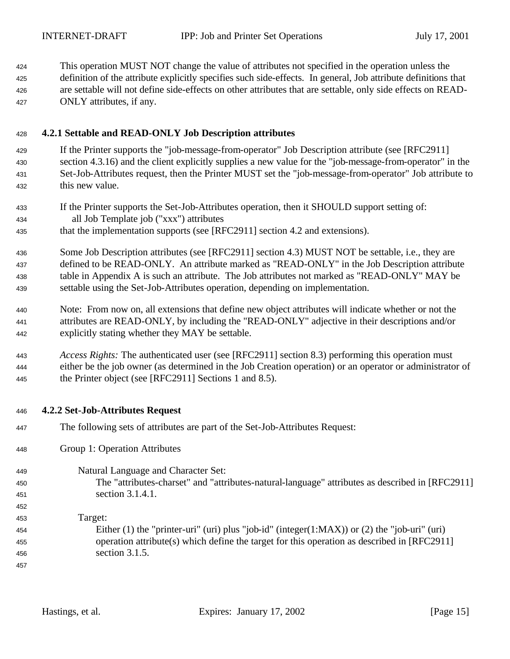This operation MUST NOT change the value of attributes not specified in the operation unless the definition of the attribute explicitly specifies such side-effects. In general, Job attribute definitions that

 are settable will not define side-effects on other attributes that are settable, only side effects on READ-ONLY attributes, if any.

## **4.2.1 Settable and READ-ONLY Job Description attributes**

 If the Printer supports the "job-message-from-operator" Job Description attribute (see [RFC2911] section 4.3.16) and the client explicitly supplies a new value for the "job-message-from-operator" in the Set-Job-Attributes request, then the Printer MUST set the "job-message-from-operator" Job attribute to this new value.

- If the Printer supports the Set-Job-Attributes operation, then it SHOULD support setting of: all Job Template job ("xxx") attributes
- that the implementation supports (see [RFC2911] section 4.2 and extensions).
- Some Job Description attributes (see [RFC2911] section 4.3) MUST NOT be settable, i.e., they are defined to be READ-ONLY. An attribute marked as "READ-ONLY" in the Job Description attribute table in Appendix A is such an attribute. The Job attributes not marked as "READ-ONLY" MAY be settable using the Set-Job-Attributes operation, depending on implementation.
- Note: From now on, all extensions that define new object attributes will indicate whether or not the attributes are READ-ONLY, by including the "READ-ONLY" adjective in their descriptions and/or explicitly stating whether they MAY be settable.

 *Access Rights:* The authenticated user (see [RFC2911] section 8.3) performing this operation must either be the job owner (as determined in the Job Creation operation) or an operator or administrator of the Printer object (see [RFC2911] Sections 1 and 8.5).

## **4.2.2 Set-Job-Attributes Request**

- The following sets of attributes are part of the Set-Job-Attributes Request:
- Group 1: Operation Attributes
- Natural Language and Character Set:
- The "attributes-charset" and "attributes-natural-language" attributes as described in [RFC2911] section 3.1.4.1.
- Target: Either (1) the "printer-uri" (uri) plus "job-id" (integer(1:MAX)) or (2) the "job-uri" (uri) operation attribute(s) which define the target for this operation as described in [RFC2911] section 3.1.5.
-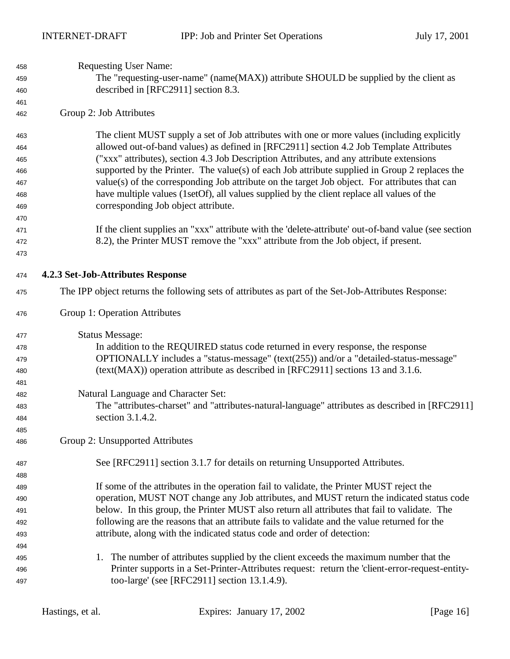| 458        | <b>Requesting User Name:</b>                                                                                                                   |
|------------|------------------------------------------------------------------------------------------------------------------------------------------------|
| 459        | The "requesting-user-name" (name(MAX)) attribute SHOULD be supplied by the client as                                                           |
| 460        | described in [RFC2911] section 8.3.                                                                                                            |
| 461        |                                                                                                                                                |
| 462        | Group 2: Job Attributes                                                                                                                        |
| 463        | The client MUST supply a set of Job attributes with one or more values (including explicitly                                                   |
| 464        | allowed out-of-band values) as defined in [RFC2911] section 4.2 Job Template Attributes                                                        |
| 465        | ("xxx" attributes), section 4.3 Job Description Attributes, and any attribute extensions                                                       |
| 466        | supported by the Printer. The value(s) of each Job attribute supplied in Group 2 replaces the                                                  |
| 467        | value(s) of the corresponding Job attribute on the target Job object. For attributes that can                                                  |
| 468        | have multiple values (1setOf), all values supplied by the client replace all values of the                                                     |
| 469        | corresponding Job object attribute.                                                                                                            |
| 470        |                                                                                                                                                |
| 471        | If the client supplies an "xxx" attribute with the 'delete-attribute' out-of-band value (see section                                           |
| 472        | 8.2), the Printer MUST remove the "xxx" attribute from the Job object, if present.                                                             |
| 473        |                                                                                                                                                |
| 474        | 4.2.3 Set-Job-Attributes Response                                                                                                              |
| 475        | The IPP object returns the following sets of attributes as part of the Set-Job-Attributes Response:                                            |
| 476        | Group 1: Operation Attributes                                                                                                                  |
| 477        | <b>Status Message:</b>                                                                                                                         |
| 478        | In addition to the REQUIRED status code returned in every response, the response                                                               |
| 479        | OPTIONALLY includes a "status-message" (text(255)) and/or a "detailed-status-message"                                                          |
| 480        | (text(MAX)) operation attribute as described in [RFC2911] sections 13 and 3.1.6.                                                               |
| 481        |                                                                                                                                                |
|            |                                                                                                                                                |
| 482        | Natural Language and Character Set:                                                                                                            |
| 483        | The "attributes-charset" and "attributes-natural-language" attributes as described in [RFC2911]                                                |
| 484        | section 3.1.4.2.                                                                                                                               |
| 485        |                                                                                                                                                |
| 486        | Group 2: Unsupported Attributes                                                                                                                |
| 487        |                                                                                                                                                |
| 488        | See [RFC2911] section 3.1.7 for details on returning Unsupported Attributes.                                                                   |
| 489        | If some of the attributes in the operation fail to validate, the Printer MUST reject the                                                       |
| 490        | operation, MUST NOT change any Job attributes, and MUST return the indicated status code                                                       |
| 491        | below. In this group, the Printer MUST also return all attributes that fail to validate. The                                                   |
| 492        | following are the reasons that an attribute fails to validate and the value returned for the                                                   |
|            | attribute, along with the indicated status code and order of detection:                                                                        |
| 493<br>494 |                                                                                                                                                |
| 495        | 1. The number of attributes supplied by the client exceeds the maximum number that the                                                         |
| 496        | Printer supports in a Set-Printer-Attributes request: return the 'client-error-request-entity-<br>too-large' (see [RFC2911] section 13.1.4.9). |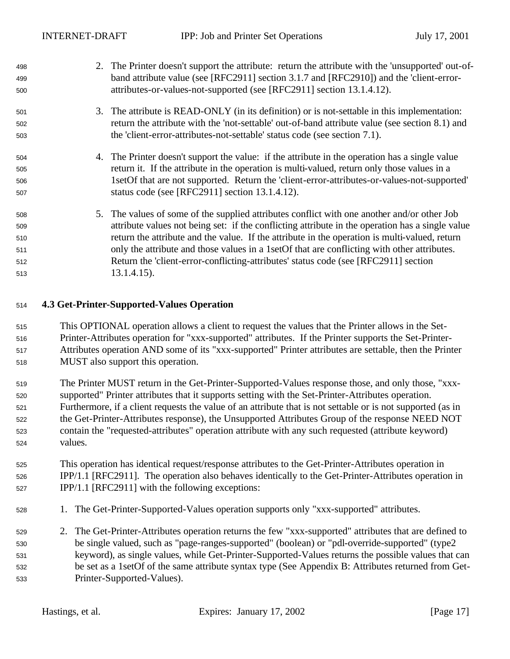| 498 | 2. The Printer doesn't support the attribute: return the attribute with the 'unsupported' out-of- |
|-----|---------------------------------------------------------------------------------------------------|
| 499 | band attribute value (see [RFC2911] section 3.1.7 and [RFC2910]) and the 'client-error-           |
| 500 | attributes-or-values-not-supported (see [RFC2911] section 13.1.4.12).                             |
| 501 | 3. The attribute is READ-ONLY (in its definition) or is not-settable in this implementation:      |
| 502 | return the attribute with the 'not-settable' out-of-band attribute value (see section 8.1) and    |
| 503 | the 'client-error-attributes-not-settable' status code (see section 7.1).                         |
| 504 | 4. The Printer doesn't support the value: if the attribute in the operation has a single value    |
| 505 | return it. If the attribute in the operation is multi-valued, return only those values in a       |
| 506 | 1set Of that are not supported. Return the 'client-error-attributes-or-values-not-supported'      |
| 507 | status code (see [RFC2911] section 13.1.4.12).                                                    |
| 508 | 5. The values of some of the supplied attributes conflict with one another and/or other Job       |
| 509 | attribute values not being set: if the conflicting attribute in the operation has a single value  |
| 510 | return the attribute and the value. If the attribute in the operation is multi-valued, return     |
| 511 | only the attribute and those values in a 1set Of that are conflicting with other attributes.      |
| 512 | Return the 'client-error-conflicting-attributes' status code (see [RFC2911] section               |
| 513 | $13.1.4.15$ ).                                                                                    |

### **4.3 Get-Printer-Supported-Values Operation**

- This OPTIONAL operation allows a client to request the values that the Printer allows in the Set- Printer-Attributes operation for "xxx-supported" attributes. If the Printer supports the Set-Printer- Attributes operation AND some of its "xxx-supported" Printer attributes are settable, then the Printer MUST also support this operation.
- 519 The Printer MUST return in the Get-Printer-Supported-Values response those, and only those, "xxx- supported" Printer attributes that it supports setting with the Set-Printer-Attributes operation. Furthermore, if a client requests the value of an attribute that is not settable or is not supported (as in the Get-Printer-Attributes response), the Unsupported Attributes Group of the response NEED NOT contain the "requested-attributes" operation attribute with any such requested (attribute keyword) values.

### This operation has identical request/response attributes to the Get-Printer-Attributes operation in IPP/1.1 [RFC2911]. The operation also behaves identically to the Get-Printer-Attributes operation in IPP/1.1 [RFC2911] with the following exceptions:

- 1. The Get-Printer-Supported-Values operation supports only "xxx-supported" attributes.
- 2. The Get-Printer-Attributes operation returns the few "xxx-supported" attributes that are defined to be single valued, such as "page-ranges-supported" (boolean) or "pdl-override-supported" (type2 keyword), as single values, while Get-Printer-Supported-Values returns the possible values that can be set as a 1setOf of the same attribute syntax type (See Appendix B: Attributes returned from Get-Printer-Supported-Values).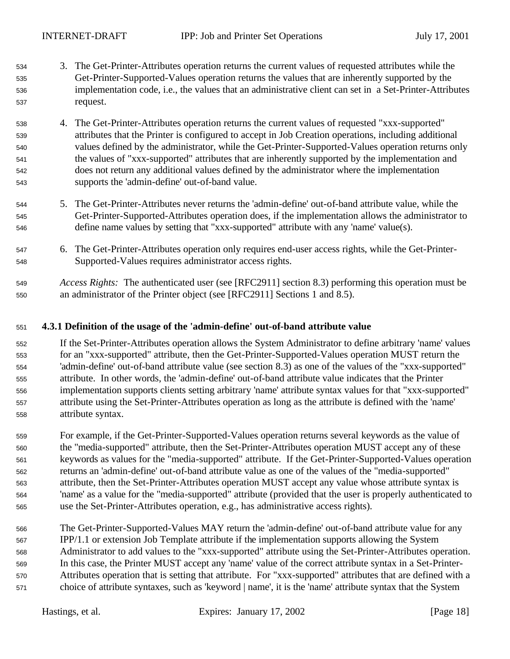- 3. The Get-Printer-Attributes operation returns the current values of requested attributes while the Get-Printer-Supported-Values operation returns the values that are inherently supported by the implementation code, i.e., the values that an administrative client can set in a Set-Printer-Attributes request.
- 4. The Get-Printer-Attributes operation returns the current values of requested "xxx-supported" attributes that the Printer is configured to accept in Job Creation operations, including additional values defined by the administrator, while the Get-Printer-Supported-Values operation returns only the values of "xxx-supported" attributes that are inherently supported by the implementation and does not return any additional values defined by the administrator where the implementation supports the 'admin-define' out-of-band value.
- 5. The Get-Printer-Attributes never returns the 'admin-define' out-of-band attribute value, while the Get-Printer-Supported-Attributes operation does, if the implementation allows the administrator to define name values by setting that "xxx-supported" attribute with any 'name' value(s).
- 6. The Get-Printer-Attributes operation only requires end-user access rights, while the Get-Printer-Supported-Values requires administrator access rights.
- *Access Rights:*The authenticated user (see [RFC2911] section 8.3) performing this operation must be an administrator of the Printer object (see [RFC2911] Sections 1 and 8.5).

#### **4.3.1 Definition of the usage of the 'admin-define' out-of-band attribute value**

 If the Set-Printer-Attributes operation allows the System Administrator to define arbitrary 'name' values for an "xxx-supported" attribute, then the Get-Printer-Supported-Values operation MUST return the 'admin-define' out-of-band attribute value (see section 8.3) as one of the values of the "xxx-supported" attribute. In other words, the 'admin-define' out-of-band attribute value indicates that the Printer implementation supports clients setting arbitrary 'name' attribute syntax values for that "xxx-supported" attribute using the Set-Printer-Attributes operation as long as the attribute is defined with the 'name' attribute syntax.

 For example, if the Get-Printer-Supported-Values operation returns several keywords as the value of the "media-supported" attribute, then the Set-Printer-Attributes operation MUST accept any of these keywords as values for the "media-supported" attribute. If the Get-Printer-Supported-Values operation returns an 'admin-define' out-of-band attribute value as one of the values of the "media-supported" attribute, then the Set-Printer-Attributes operation MUST accept any value whose attribute syntax is 'name' as a value for the "media-supported" attribute (provided that the user is properly authenticated to use the Set-Printer-Attributes operation, e.g., has administrative access rights).

 The Get-Printer-Supported-Values MAY return the 'admin-define' out-of-band attribute value for any IPP/1.1 or extension Job Template attribute if the implementation supports allowing the System Administrator to add values to the "xxx-supported" attribute using the Set-Printer-Attributes operation. In this case, the Printer MUST accept any 'name' value of the correct attribute syntax in a Set-Printer- Attributes operation that is setting that attribute. For "xxx-supported" attributes that are defined with a choice of attribute syntaxes, such as 'keyword | name', it is the 'name' attribute syntax that the System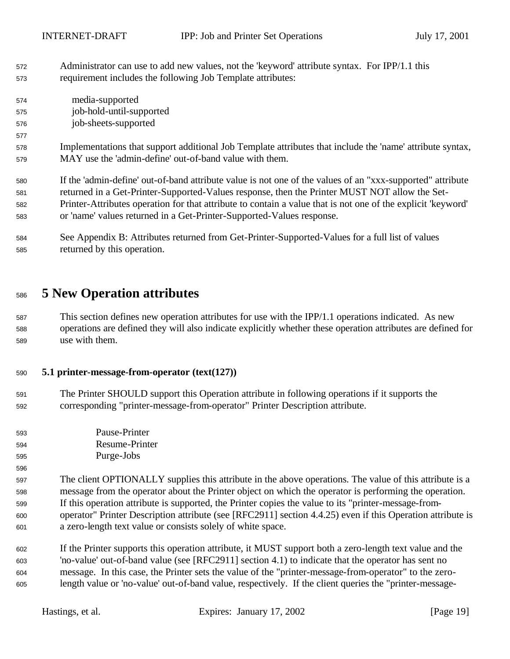- Administrator can use to add new values, not the 'keyword' attribute syntax. For IPP/1.1 this requirement includes the following Job Template attributes:
- media-supported job-hold-until-supported job-sheets-supported

- Implementations that support additional Job Template attributes that include the 'name' attribute syntax, MAY use the 'admin-define' out-of-band value with them.
- If the 'admin-define' out-of-band attribute value is not one of the values of an "xxx-supported" attribute returned in a Get-Printer-Supported-Values response, then the Printer MUST NOT allow the Set- Printer-Attributes operation for that attribute to contain a value that is not one of the explicit 'keyword' or 'name' values returned in a Get-Printer-Supported-Values response.
- See Appendix B: Attributes returned from Get-Printer-Supported-Values for a full list of values returned by this operation.

## **5 New Operation attributes**

 This section defines new operation attributes for use with the IPP/1.1 operations indicated. As new operations are defined they will also indicate explicitly whether these operation attributes are defined for use with them.

#### **5.1 printer-message-from-operator (text(127))**

- The Printer SHOULD support this Operation attribute in following operations if it supports the corresponding "printer-message-from-operator" Printer Description attribute.
- Pause-Printer Resume-Printer Purge-Jobs
- The client OPTIONALLY supplies this attribute in the above operations. The value of this attribute is a message from the operator about the Printer object on which the operator is performing the operation. If this operation attribute is supported, the Printer copies the value to its "printer-message-from- operator" Printer Description attribute (see [RFC2911] section 4.4.25) even if this Operation attribute is a zero-length text value or consists solely of white space.
- If the Printer supports this operation attribute, it MUST support both a zero-length text value and the 'no-value' out-of-band value (see [RFC2911] section 4.1) to indicate that the operator has sent no message. In this case, the Printer sets the value of the "printer-message-from-operator" to the zero-length value or 'no-value' out-of-band value, respectively. If the client queries the "printer-message-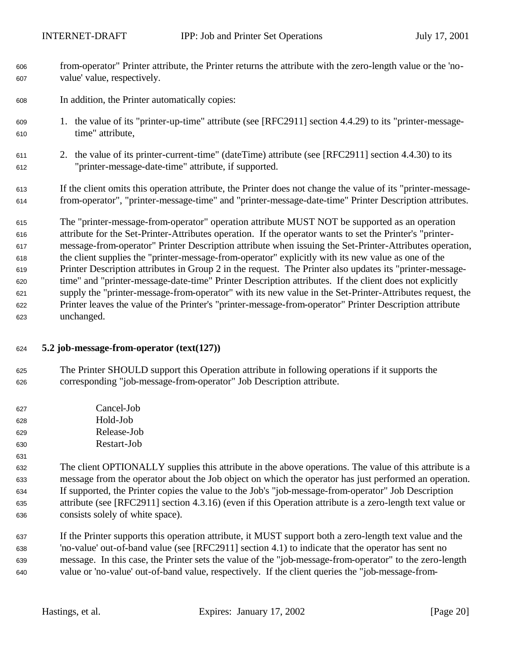- from-operator" Printer attribute, the Printer returns the attribute with the zero-length value or the 'no-value' value, respectively.
- In addition, the Printer automatically copies:
- 1. the value of its "printer-up-time" attribute (see [RFC2911] section 4.4.29) to its "printer-message-time" attribute,
- 2. the value of its printer-current-time" (dateTime) attribute (see [RFC2911] section 4.4.30) to its "printer-message-date-time" attribute, if supported.
- If the client omits this operation attribute, the Printer does not change the value of its "printer-message-from-operator", "printer-message-time" and "printer-message-date-time" Printer Description attributes.

 The "printer-message-from-operator" operation attribute MUST NOT be supported as an operation attribute for the Set-Printer-Attributes operation. If the operator wants to set the Printer's "printer- message-from-operator" Printer Description attribute when issuing the Set-Printer-Attributes operation, the client supplies the "printer-message-from-operator" explicitly with its new value as one of the Printer Description attributes in Group 2 in the request. The Printer also updates its "printer-message- time" and "printer-message-date-time" Printer Description attributes. If the client does not explicitly supply the "printer-message-from-operator" with its new value in the Set-Printer-Attributes request, the Printer leaves the value of the Printer's "printer-message-from-operator" Printer Description attribute unchanged.

### **5.2 job-message-from-operator (text(127))**

- The Printer SHOULD support this Operation attribute in following operations if it supports the corresponding "job-message-from-operator" Job Description attribute.
- Cancel-Job Hold-Job Release-Job
- Restart-Job
- 
- The client OPTIONALLY supplies this attribute in the above operations. The value of this attribute is a message from the operator about the Job object on which the operator has just performed an operation. If supported, the Printer copies the value to the Job's "job-message-from-operator" Job Description attribute (see [RFC2911] section 4.3.16) (even if this Operation attribute is a zero-length text value or consists solely of white space).
- If the Printer supports this operation attribute, it MUST support both a zero-length text value and the 'no-value' out-of-band value (see [RFC2911] section 4.1) to indicate that the operator has sent no message. In this case, the Printer sets the value of the "job-message-from-operator" to the zero-length value or 'no-value' out-of-band value, respectively. If the client queries the "job-message-from-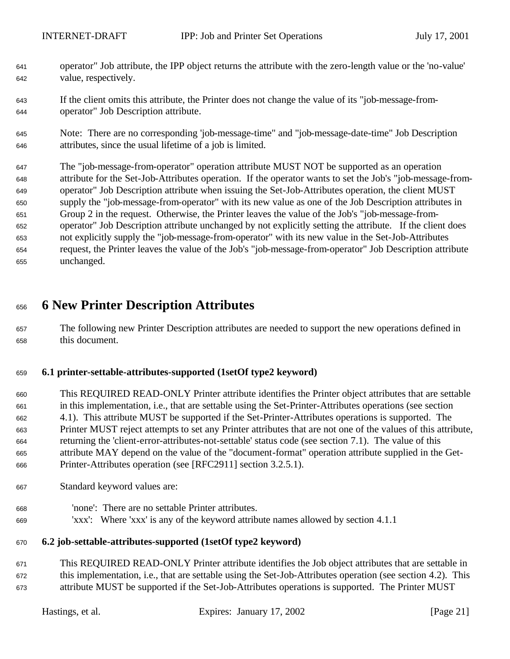- operator" Job attribute, the IPP object returns the attribute with the zero-length value or the 'no-value' value, respectively.
- If the client omits this attribute, the Printer does not change the value of its "job-message-from-operator" Job Description attribute.
- Note: There are no corresponding 'job-message-time" and "job-message-date-time" Job Description attributes, since the usual lifetime of a job is limited.
- The "job-message-from-operator" operation attribute MUST NOT be supported as an operation attribute for the Set-Job-Attributes operation. If the operator wants to set the Job's "job-message-from- operator" Job Description attribute when issuing the Set-Job-Attributes operation, the client MUST supply the "job-message-from-operator" with its new value as one of the Job Description attributes in Group 2 in the request. Otherwise, the Printer leaves the value of the Job's "job-message-from- operator" Job Description attribute unchanged by not explicitly setting the attribute. If the client does not explicitly supply the "job-message-from-operator" with its new value in the Set-Job-Attributes request, the Printer leaves the value of the Job's "job-message-from-operator" Job Description attribute unchanged.

# **6 New Printer Description Attributes**

 The following new Printer Description attributes are needed to support the new operations defined in this document.

### **6.1 printer-settable-attributes-supported (1setOf type2 keyword)**

- This REQUIRED READ-ONLY Printer attribute identifies the Printer object attributes that are settable in this implementation, i.e., that are settable using the Set-Printer-Attributes operations (see section 4.1). This attribute MUST be supported if the Set-Printer-Attributes operations is supported. The Printer MUST reject attempts to set any Printer attributes that are not one of the values of this attribute, returning the 'client-error-attributes-not-settable' status code (see section 7.1). The value of this attribute MAY depend on the value of the "document-format" operation attribute supplied in the Get-Printer-Attributes operation (see [RFC2911] section 3.2.5.1).
- Standard keyword values are:
- 'none': There are no settable Printer attributes.
- 'xxx': Where 'xxx' is any of the keyword attribute names allowed by section 4.1.1

#### **6.2 job-settable-attributes-supported (1setOf type2 keyword)**

 This REQUIRED READ-ONLY Printer attribute identifies the Job object attributes that are settable in this implementation, i.e., that are settable using the Set-Job-Attributes operation (see section 4.2). This attribute MUST be supported if the Set-Job-Attributes operations is supported. The Printer MUST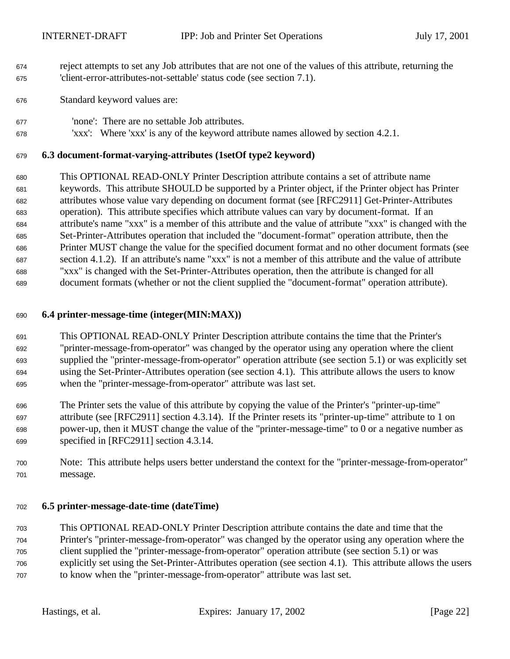- reject attempts to set any Job attributes that are not one of the values of this attribute, returning the 'client-error-attributes-not-settable' status code (see section 7.1).
- Standard keyword values are:
- 'none': There are no settable Job attributes.
- 'xxx': Where 'xxx' is any of the keyword attribute names allowed by section 4.2.1.

#### **6.3 document-format-varying-attributes (1setOf type2 keyword)**

 This OPTIONAL READ-ONLY Printer Description attribute contains a set of attribute name keywords. This attribute SHOULD be supported by a Printer object, if the Printer object has Printer attributes whose value vary depending on document format (see [RFC2911] Get-Printer-Attributes operation). This attribute specifies which attribute values can vary by document-format. If an attribute's name "xxx" is a member of this attribute and the value of attribute "xxx" is changed with the Set-Printer-Attributes operation that included the "document-format" operation attribute, then the Printer MUST change the value for the specified document format and no other document formats (see section 4.1.2). If an attribute's name "xxx" is not a member of this attribute and the value of attribute "xxx" is changed with the Set-Printer-Attributes operation, then the attribute is changed for all document formats (whether or not the client supplied the "document-format" operation attribute).

#### **6.4 printer-message-time (integer(MIN:MAX))**

- This OPTIONAL READ-ONLY Printer Description attribute contains the time that the Printer's "printer-message-from-operator" was changed by the operator using any operation where the client supplied the "printer-message-from-operator" operation attribute (see section 5.1) or was explicitly set using the Set-Printer-Attributes operation (see section 4.1). This attribute allows the users to know when the "printer-message-from-operator" attribute was last set.
- The Printer sets the value of this attribute by copying the value of the Printer's "printer-up-time" attribute (see [RFC2911] section 4.3.14). If the Printer resets its "printer-up-time" attribute to 1 on power-up, then it MUST change the value of the "printer-message-time" to 0 or a negative number as specified in [RFC2911] section 4.3.14.
- Note: This attribute helps users better understand the context for the "printer-message-from-operator" message.

#### **6.5 printer-message-date-time (dateTime)**

 This OPTIONAL READ-ONLY Printer Description attribute contains the date and time that the Printer's "printer-message-from-operator" was changed by the operator using any operation where the client supplied the "printer-message-from-operator" operation attribute (see section 5.1) or was explicitly set using the Set-Printer-Attributes operation (see section 4.1). This attribute allows the users to know when the "printer-message-from-operator" attribute was last set.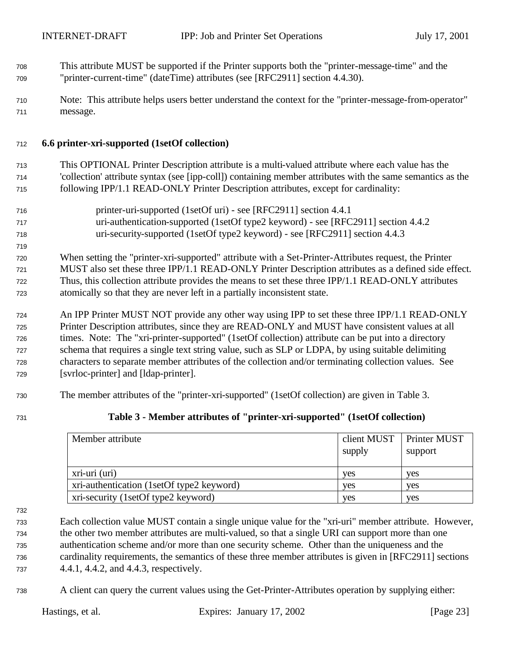- This attribute MUST be supported if the Printer supports both the "printer-message-time" and the "printer-current-time" (dateTime) attributes (see [RFC2911] section 4.4.30).
- Note: This attribute helps users better understand the context for the "printer-message-from-operator" message.

#### **6.6 printer-xri-supported (1setOf collection)**

 This OPTIONAL Printer Description attribute is a multi-valued attribute where each value has the 'collection' attribute syntax (see [ipp-coll]) containing member attributes with the same semantics as the following IPP/1.1 READ-ONLY Printer Description attributes, except for cardinality:

- printer-uri-supported (1setOf uri) see [RFC2911] section 4.4.1 uri-authentication-supported (1setOf type2 keyword) - see [RFC2911] section 4.4.2 uri-security-supported (1setOf type2 keyword) - see [RFC2911] section 4.4.3
- When setting the "printer-xri-supported" attribute with a Set-Printer-Attributes request, the Printer MUST also set these three IPP/1.1 READ-ONLY Printer Description attributes as a defined side effect. Thus, this collection attribute provides the means to set these three IPP/1.1 READ-ONLY attributes atomically so that they are never left in a partially inconsistent state.
- An IPP Printer MUST NOT provide any other way using IPP to set these three IPP/1.1 READ-ONLY Printer Description attributes, since they are READ-ONLY and MUST have consistent values at all times. Note: The "xri-printer-supported" (1setOf collection) attribute can be put into a directory schema that requires a single text string value, such as SLP or LDPA, by using suitable delimiting characters to separate member attributes of the collection and/or terminating collection values. See [svrloc-printer] and [ldap-printer].
- The member attributes of the "printer-xri-supported" (1setOf collection) are given in Table 3.

### **Table 3 - Member attributes of "printer-xri-supported" (1setOf collection)**

| Member attribute                          | client MUST<br>supply | Printer MUST<br>support |
|-------------------------------------------|-----------------------|-------------------------|
| xri-uri (uri)                             | yes                   | yes                     |
| xri-authentication (1setOf type2 keyword) | <b>ves</b>            | ves                     |
| xri-security (1setOf type2 keyword)       | yes                   | ves                     |

 Each collection value MUST contain a single unique value for the "xri-uri" member attribute. However, the other two member attributes are multi-valued, so that a single URI can support more than one authentication scheme and/or more than one security scheme. Other than the uniqueness and the cardinality requirements, the semantics of these three member attributes is given in [RFC2911] sections 4.4.1, 4.4.2, and 4.4.3, respectively.

A client can query the current values using the Get-Printer-Attributes operation by supplying either: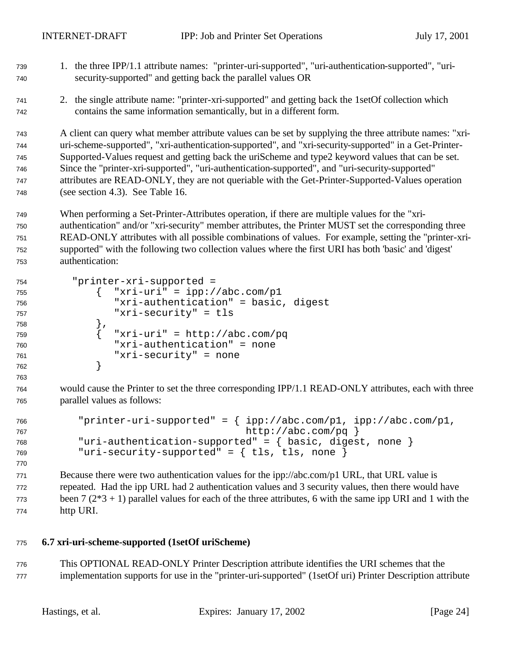1. the three IPP/1.1 attribute names: "printer-uri-supported", "uri-authentication-supported", "uri- security-supported" and getting back the parallel values OR 2. the single attribute name: "printer-xri-supported" and getting back the 1setOf collection which contains the same information semantically, but in a different form. A client can query what member attribute values can be set by supplying the three attribute names: "xri- uri-scheme-supported", "xri-authentication-supported", and "xri-security-supported" in a Get-Printer- Supported-Values request and getting back the uriScheme and type2 keyword values that can be set. Since the "printer-xri-supported", "uri-authentication-supported", and "uri-security-supported" attributes are READ-ONLY, they are not queriable with the Get-Printer-Supported-Values operation (see section 4.3). See Table 16. When performing a Set-Printer-Attributes operation, if there are multiple values for the "xri- authentication" and/or "xri-security" member attributes, the Printer MUST set the corresponding three READ-ONLY attributes with all possible combinations of values. For example, setting the "printer-xri- supported" with the following two collection values where the first URI has both 'basic' and 'digest' authentication: "printer-xri-supported = { "xri-uri" = ipp://abc.com/p1 "xri-authentication" = basic, digest "xri-security" = tls },  $\{$  "xri-uri" = http://abc.com/pq "xri-authentication" = none "xri-security" = none } would cause the Printer to set the three corresponding IPP/1.1 READ-ONLY attributes, each with three parallel values as follows: "printer-uri-supported" = { ipp://abc.com/p1, ipp://abc.com/p1, 767 http://abc.com/pq } "uri-authentication-supported" = { basic, digest, none } "uri-security-supported" = { tls, tls, none } Because there were two authentication values for the ipp://abc.com/p1 URL, that URL value is repeated. Had the ipp URL had 2 authentication values and 3 security values, then there would have been  $7(2*3 + 1)$  parallel values for each of the three attributes, 6 with the same ipp URI and 1 with the http URI.

## **6.7 xri-uri-scheme-supported (1setOf uriScheme)**

 This OPTIONAL READ-ONLY Printer Description attribute identifies the URI schemes that the implementation supports for use in the "printer-uri-supported" (1setOf uri) Printer Description attribute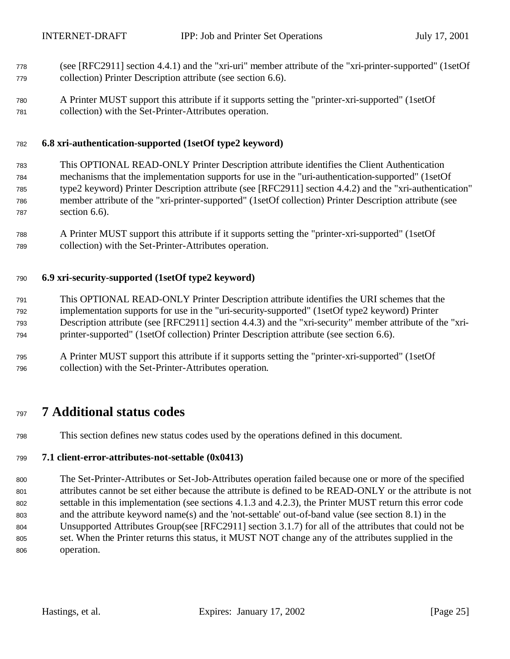- (see [RFC2911] section 4.4.1) and the "xri-uri" member attribute of the "xri-printer-supported" (1setOf collection) Printer Description attribute (see section 6.6).
- A Printer MUST support this attribute if it supports setting the "printer-xri-supported" (1setOf collection) with the Set-Printer-Attributes operation.

#### **6.8 xri-authentication-supported (1setOf type2 keyword)**

- This OPTIONAL READ-ONLY Printer Description attribute identifies the Client Authentication mechanisms that the implementation supports for use in the "uri-authentication-supported" (1setOf type2 keyword) Printer Description attribute (see [RFC2911] section 4.4.2) and the "xri-authentication" member attribute of the "xri-printer-supported" (1setOf collection) Printer Description attribute (see section 6.6).
- A Printer MUST support this attribute if it supports setting the "printer-xri-supported" (1setOf collection) with the Set-Printer-Attributes operation.

#### **6.9 xri-security-supported (1setOf type2 keyword)**

- This OPTIONAL READ-ONLY Printer Description attribute identifies the URI schemes that the implementation supports for use in the "uri-security-supported" (1setOf type2 keyword) Printer Description attribute (see [RFC2911] section 4.4.3) and the "xri-security" member attribute of the "xri-printer-supported" (1setOf collection) Printer Description attribute (see section 6.6).
- A Printer MUST support this attribute if it supports setting the "printer-xri-supported" (1setOf collection) with the Set-Printer-Attributes operation.

## **7 Additional status codes**

This section defines new status codes used by the operations defined in this document.

#### **7.1 client-error-attributes-not-settable (0x0413)**

 The Set-Printer-Attributes or Set-Job-Attributes operation failed because one or more of the specified attributes cannot be set either because the attribute is defined to be READ-ONLY or the attribute is not settable in this implementation (see sections 4.1.3 and 4.2.3), the Printer MUST return this error code and the attribute keyword name(s) and the 'not-settable' out-of-band value (see section 8.1) in the Unsupported Attributes Group(see [RFC2911] section 3.1.7) for all of the attributes that could not be set. When the Printer returns this status, it MUST NOT change any of the attributes supplied in the operation.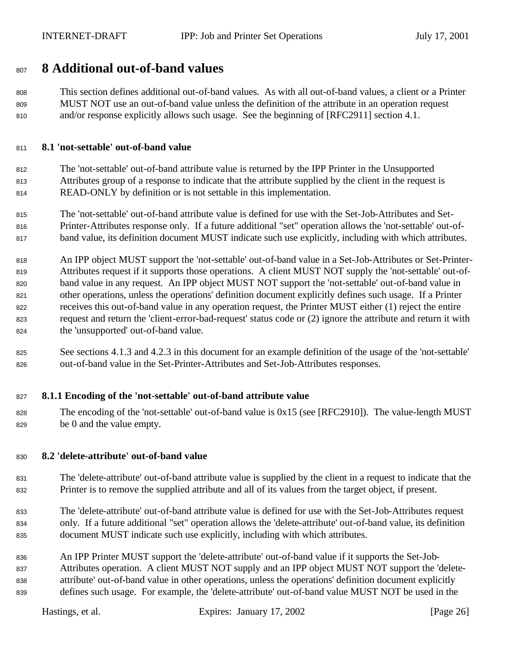## **8 Additional out-of-band values**

 This section defines additional out-of-band values. As with all out-of-band values, a client or a Printer MUST NOT use an out-of-band value unless the definition of the attribute in an operation request and/or response explicitly allows such usage. See the beginning of [RFC2911] section 4.1.

#### **8.1 'not-settable' out-of-band value**

 The 'not-settable' out-of-band attribute value is returned by the IPP Printer in the Unsupported Attributes group of a response to indicate that the attribute supplied by the client in the request is READ-ONLY by definition or is not settable in this implementation.

 The 'not-settable' out-of-band attribute value is defined for use with the Set-Job-Attributes and Set- Printer-Attributes response only. If a future additional "set" operation allows the 'not-settable' out-of-band value, its definition document MUST indicate such use explicitly, including with which attributes.

 An IPP object MUST support the 'not-settable' out-of-band value in a Set-Job-Attributes or Set-Printer- Attributes request if it supports those operations. A client MUST NOT supply the 'not-settable' out-of- band value in any request. An IPP object MUST NOT support the 'not-settable' out-of-band value in other operations, unless the operations' definition document explicitly defines such usage. If a Printer receives this out-of-band value in any operation request, the Printer MUST either (1) reject the entire request and return the 'client-error-bad-request' status code or (2) ignore the attribute and return it with the 'unsupported' out-of-band value.

 See sections 4.1.3 and 4.2.3 in this document for an example definition of the usage of the 'not-settable' out-of-band value in the Set-Printer-Attributes and Set-Job-Attributes responses.

#### **8.1.1 Encoding of the 'not-settable' out-of-band attribute value**

 The encoding of the 'not-settable' out-of-band value is 0x15 (see [RFC2910]). The value-length MUST be 0 and the value empty.

#### **8.2 'delete-attribute' out-of-band value**

- The 'delete-attribute' out-of-band attribute value is supplied by the client in a request to indicate that the Printer is to remove the supplied attribute and all of its values from the target object, if present.
- The 'delete-attribute' out-of-band attribute value is defined for use with the Set-Job-Attributes request only. If a future additional "set" operation allows the 'delete-attribute' out-of-band value, its definition document MUST indicate such use explicitly, including with which attributes.

 An IPP Printer MUST support the 'delete-attribute' out-of-band value if it supports the Set-Job- Attributes operation. A client MUST NOT supply and an IPP object MUST NOT support the 'delete- attribute' out-of-band value in other operations, unless the operations' definition document explicitly defines such usage. For example, the 'delete-attribute' out-of-band value MUST NOT be used in the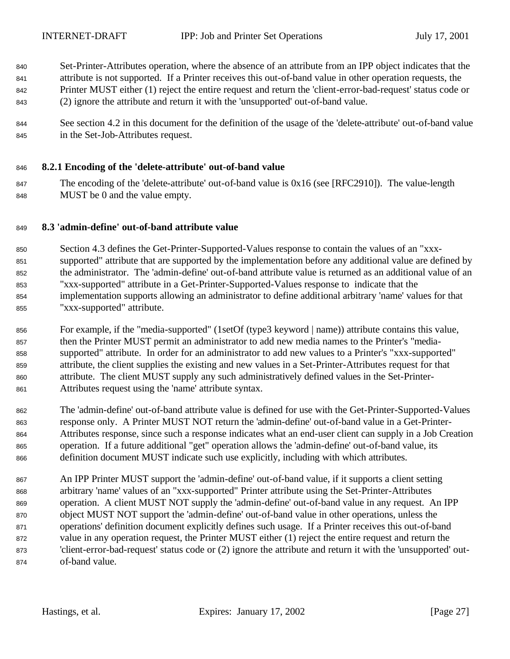- Set-Printer-Attributes operation, where the absence of an attribute from an IPP object indicates that the attribute is not supported. If a Printer receives this out-of-band value in other operation requests, the Printer MUST either (1) reject the entire request and return the 'client-error-bad-request' status code or (2) ignore the attribute and return it with the 'unsupported' out-of-band value.
- 844 See section 4.2 in this document for the definition of the usage of the 'delete-attribute' out-of-band value in the Set-Job-Attributes request.

### **8.2.1 Encoding of the 'delete-attribute' out-of-band value**

 The encoding of the 'delete-attribute' out-of-band value is 0x16 (see [RFC2910]). The value-length MUST be 0 and the value empty.

#### **8.3 'admin-define' out-of-band attribute value**

 Section 4.3 defines the Get-Printer-Supported-Values response to contain the values of an "xxx- supported" attribute that are supported by the implementation before any additional value are defined by the administrator. The 'admin-define' out-of-band attribute value is returned as an additional value of an "xxx-supported" attribute in a Get-Printer-Supported-Values response to indicate that the implementation supports allowing an administrator to define additional arbitrary 'name' values for that "xxx-supported" attribute.

- For example, if the "media-supported" (1setOf (type3 keyword | name)) attribute contains this value, then the Printer MUST permit an administrator to add new media names to the Printer's "media- supported" attribute. In order for an administrator to add new values to a Printer's "xxx-supported" attribute, the client supplies the existing and new values in a Set-Printer-Attributes request for that attribute. The client MUST supply any such administratively defined values in the Set-Printer-Attributes request using the 'name' attribute syntax.
- The 'admin-define' out-of-band attribute value is defined for use with the Get-Printer-Supported-Values response only. A Printer MUST NOT return the 'admin-define' out-of-band value in a Get-Printer- Attributes response, since such a response indicates what an end-user client can supply in a Job Creation operation. If a future additional "get" operation allows the 'admin-define' out-of-band value, its definition document MUST indicate such use explicitly, including with which attributes.
- An IPP Printer MUST support the 'admin-define' out-of-band value, if it supports a client setting arbitrary 'name' values of an "xxx-supported" Printer attribute using the Set-Printer-Attributes operation. A client MUST NOT supply the 'admin-define' out-of-band value in any request. An IPP object MUST NOT support the 'admin-define' out-of-band value in other operations, unless the operations' definition document explicitly defines such usage. If a Printer receives this out-of-band value in any operation request, the Printer MUST either (1) reject the entire request and return the 'client-error-bad-request' status code or (2) ignore the attribute and return it with the 'unsupported' out-of-band value.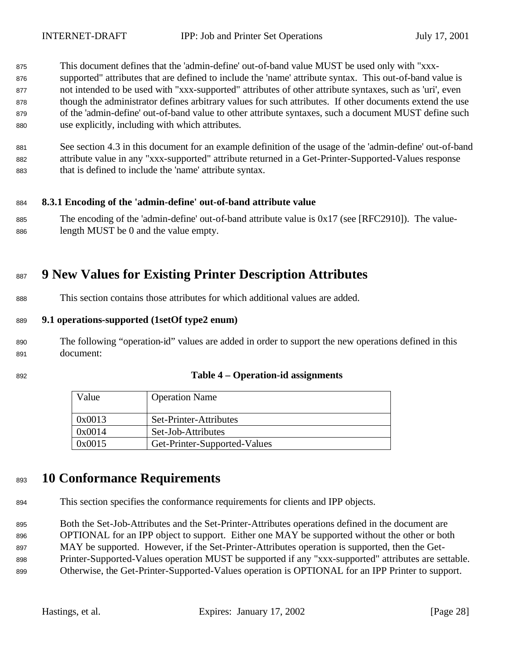- This document defines that the 'admin-define' out-of-band value MUST be used only with "xxx-
- supported" attributes that are defined to include the 'name' attribute syntax. This out-of-band value is not intended to be used with "xxx-supported" attributes of other attribute syntaxes, such as 'uri', even though the administrator defines arbitrary values for such attributes. If other documents extend the use of the 'admin-define' out-of-band value to other attribute syntaxes, such a document MUST define such use explicitly, including with which attributes.
- See section 4.3 in this document for an example definition of the usage of the 'admin-define' out-of-band attribute value in any "xxx-supported" attribute returned in a Get-Printer-Supported-Values response that is defined to include the 'name' attribute syntax.

#### **8.3.1 Encoding of the 'admin-define' out-of-band attribute value**

 The encoding of the 'admin-define' out-of-band attribute value is 0x17 (see [RFC2910]). The value-length MUST be 0 and the value empty.

# **9 New Values for Existing Printer Description Attributes**

This section contains those attributes for which additional values are added.

#### **9.1 operations-supported (1setOf type2 enum)**

- The following "operation-id" values are added in order to support the new operations defined in this document:
- 

#### **Table 4 – Operation-id assignments**

| Value  | <b>Operation Name</b>        |  |
|--------|------------------------------|--|
| 0x0013 | Set-Printer-Attributes       |  |
| 0x0014 | Set-Job-Attributes           |  |
| 0x0015 | Get-Printer-Supported-Values |  |

## **10 Conformance Requirements**

This section specifies the conformance requirements for clients and IPP objects.

Both the Set-Job-Attributes and the Set-Printer-Attributes operations defined in the document are

OPTIONAL for an IPP object to support. Either one MAY be supported without the other or both

MAY be supported. However, if the Set-Printer-Attributes operation is supported, then the Get-

Printer-Supported-Values operation MUST be supported if any "xxx-supported" attributes are settable.

Otherwise, the Get-Printer-Supported-Values operation is OPTIONAL for an IPP Printer to support.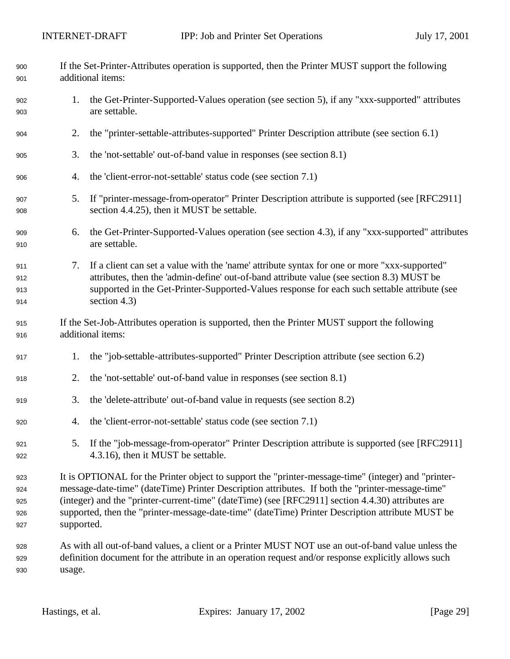| 900<br>901                      | If the Set-Printer-Attributes operation is supported, then the Printer MUST support the following<br>additional items:                                                                                                                                                                                                                                                                                                         |                                                                                                                                                                                                                                                                                                              |  |
|---------------------------------|--------------------------------------------------------------------------------------------------------------------------------------------------------------------------------------------------------------------------------------------------------------------------------------------------------------------------------------------------------------------------------------------------------------------------------|--------------------------------------------------------------------------------------------------------------------------------------------------------------------------------------------------------------------------------------------------------------------------------------------------------------|--|
| 902<br>903                      | 1.                                                                                                                                                                                                                                                                                                                                                                                                                             | the Get-Printer-Supported-Values operation (see section 5), if any "xxx-supported" attributes<br>are settable.                                                                                                                                                                                               |  |
| 904                             | 2.                                                                                                                                                                                                                                                                                                                                                                                                                             | the "printer-settable-attributes-supported" Printer Description attribute (see section 6.1)                                                                                                                                                                                                                  |  |
| 905                             | 3.                                                                                                                                                                                                                                                                                                                                                                                                                             | the 'not-settable' out-of-band value in responses (see section 8.1)                                                                                                                                                                                                                                          |  |
| 906                             | 4.                                                                                                                                                                                                                                                                                                                                                                                                                             | the 'client-error-not-settable' status code (see section 7.1)                                                                                                                                                                                                                                                |  |
| 907<br>908                      | 5.                                                                                                                                                                                                                                                                                                                                                                                                                             | If "printer-message-from-operator" Printer Description attribute is supported (see [RFC2911]<br>section 4.4.25), then it MUST be settable.                                                                                                                                                                   |  |
| 909<br>910                      | 6.                                                                                                                                                                                                                                                                                                                                                                                                                             | the Get-Printer-Supported-Values operation (see section 4.3), if any "xxx-supported" attributes<br>are settable.                                                                                                                                                                                             |  |
| 911<br>912<br>913<br>914        | 7.                                                                                                                                                                                                                                                                                                                                                                                                                             | If a client can set a value with the 'name' attribute syntax for one or more "xxx-supported"<br>attributes, then the 'admin-define' out-of-band attribute value (see section 8.3) MUST be<br>supported in the Get-Printer-Supported-Values response for each such settable attribute (see<br>section $4.3$ ) |  |
| 915<br>916                      | If the Set-Job-Attributes operation is supported, then the Printer MUST support the following<br>additional items:                                                                                                                                                                                                                                                                                                             |                                                                                                                                                                                                                                                                                                              |  |
| 917                             | 1.                                                                                                                                                                                                                                                                                                                                                                                                                             | the "job-settable-attributes-supported" Printer Description attribute (see section 6.2)                                                                                                                                                                                                                      |  |
| 918                             | 2.                                                                                                                                                                                                                                                                                                                                                                                                                             | the 'not-settable' out-of-band value in responses (see section 8.1)                                                                                                                                                                                                                                          |  |
| 919                             | 3.                                                                                                                                                                                                                                                                                                                                                                                                                             | the 'delete-attribute' out-of-band value in requests (see section 8.2)                                                                                                                                                                                                                                       |  |
| 920                             | 4.                                                                                                                                                                                                                                                                                                                                                                                                                             | the 'client-error-not-settable' status code (see section 7.1)                                                                                                                                                                                                                                                |  |
| 921<br>922                      | 5.                                                                                                                                                                                                                                                                                                                                                                                                                             | If the "job-message-from-operator" Printer Description attribute is supported (see [RFC2911]<br>4.3.16), then it MUST be settable.                                                                                                                                                                           |  |
| 923<br>924<br>925<br>926<br>927 | It is OPTIONAL for the Printer object to support the "printer-message-time" (integer) and "printer-<br>message-date-time" (dateTime) Printer Description attributes. If both the "printer-message-time"<br>(integer) and the "printer-current-time" (dateTime) (see [RFC2911] section 4.4.30) attributes are<br>supported, then the "printer-message-date-time" (dateTime) Printer Description attribute MUST be<br>supported. |                                                                                                                                                                                                                                                                                                              |  |
| 928<br>929<br>930               | As with all out-of-band values, a client or a Printer MUST NOT use an out-of-band value unless the<br>definition document for the attribute in an operation request and/or response explicitly allows such<br>usage.                                                                                                                                                                                                           |                                                                                                                                                                                                                                                                                                              |  |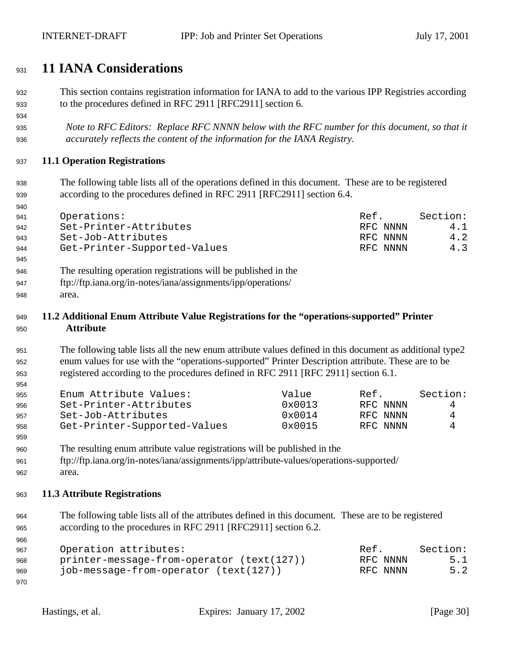# **11 IANA Considerations**

- This section contains registration information for IANA to add to the various IPP Registries according to the procedures defined in RFC 2911 [RFC2911] section 6.
- *Note to RFC Editors: Replace RFC NNNN below with the RFC number for this document, so that it accurately reflects the content of the information for the IANA Registry.*

### **11.1 Operation Registrations**

 The following table lists all of the operations defined in this document. These are to be registered according to the procedures defined in RFC 2911 [RFC2911] section 6.4.

| .   |                              |          |          |
|-----|------------------------------|----------|----------|
| 941 | Operations:                  | Ref.     | Section: |
| 942 | Set-Printer-Attributes       | RFC NNNN | 4.1      |
| 943 | Set-Job-Attributes           | RFC NNNN | 4.2      |
| 944 | Get-Printer-Supported-Values | RFC NNNN | 4.3      |

- The resulting operation registrations will be published in the
- ftp://ftp.iana.org/in-notes/iana/assignments/ipp/operations/
- area.

### **11.2 Additional Enum Attribute Value Registrations for the "operations-supported" Printer Attribute**

 The following table lists all the new enum attribute values defined in this document as additional type2 enum values for use with the "operations-supported" Printer Description attribute. These are to be registered according to the procedures defined in RFC 2911 [RFC 2911] section 6.1.

| 955 | Enum Attribute Values:       | Value           | Ref.     | Section: |
|-----|------------------------------|-----------------|----------|----------|
| 956 | Set-Printer-Attributes       | $0 \times 0013$ | RFC NNNN | 4        |
| 957 | Set-Job-Attributes           | $0 \times 0014$ | RFC NNNN | 4        |
| 958 | Get-Printer-Supported-Values | $0 \times 0015$ | RFC NNNN | 4        |

- The resulting enum attribute value registrations will be published in the
- ftp://ftp.iana.org/in-notes/iana/assignments/ipp/attribute-values/operations-supported/
- area.

#### **11.3 Attribute Registrations**

 The following table lists all of the attributes defined in this document. These are to be registered according to the procedures in RFC 2911 [RFC2911] section 6.2.

| 967 | Operation attributes:                       | Ref.     | Section: |
|-----|---------------------------------------------|----------|----------|
| 968 | $printer-message-from-operator (text(127))$ | RFC NNNN | 5.1      |
| 969 | job-message-from-operator (text(127))       | RFC NNNN | 5.2      |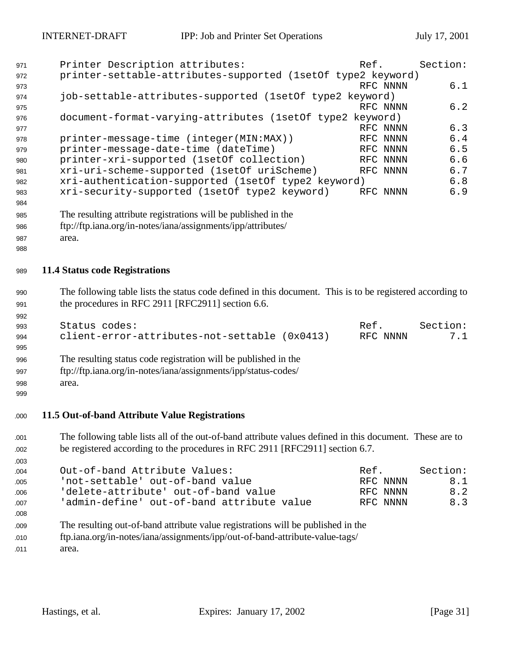| 971 | Printer Description attributes:                              | Ref.     | Section: |
|-----|--------------------------------------------------------------|----------|----------|
| 972 | printer-settable-attributes-supported (1set0f type2 keyword) |          |          |
| 973 |                                                              | RFC NNNN | 6.1      |
| 974 | job-settable-attributes-supported (1setOf type2 keyword)     |          |          |
| 975 |                                                              | RFC NNNN | 6.2      |
| 976 | document-format-varying-attributes (1setOf type2 keyword)    |          |          |
| 977 |                                                              | RFC NNNN | 6.3      |
| 978 | printer-message-time (integer(MIN:MAX))                      | RFC NNNN | 6.4      |
| 979 | printer-message-date-time (dateTime)                         | RFC NNNN | 6.5      |
| 980 | printer-xri-supported (1set0f collection)                    | RFC NNNN | 6.6      |
| 981 | xri-uri-scheme-supported (1setOf uriScheme)                  | RFC NNNN | 6.7      |
| 982 | xri-authentication-supported (1setOf type2 keyword)          |          | 6.8      |
| 983 | xri-security-supported (1set of type2 keyword)               | RFC NNNN | 6.9      |
| 984 |                                                              |          |          |
|     |                                                              |          |          |

- The resulting attribute registrations will be published in the
- ftp://ftp.iana.org/in-notes/iana/assignments/ipp/attributes/
- area.

### **11.4 Status code Registrations**

- The following table lists the status code defined in this document. This is to be registered according to 991 the procedures in RFC 2911 [RFC2911] section 6.6.
- ers and the Status codes: The Section: Ref. Section: 994 client-error-attributes-not-settable (0x0413) RFC NNNN 7.1 The resulting status code registration will be published in the
- ftp://ftp.iana.org/in-notes/iana/assignments/ipp/status-codes/
- area.
- 

### **11.5 Out-of-band Attribute Value Registrations**

- The following table lists all of the out-of-band attribute values defined in this document. These are to be registered according to the procedures in RFC 2911 [RFC2911] section 6.7.
- 004 0ut-of-band Attribute Values: The Ref. Section: 'not-settable' out-of-band value RFC NNNN 8.1 'delete-attribute' out-of-band value RFC NNNN 8.2 'admin-define' out-of-band attribute value RFC NNNN 8.3
- The resulting out-of-band attribute value registrations will be published in the
- ftp.iana.org/in-notes/iana/assignments/ipp/out-of-band-attribute-value-tags/
- 011 area.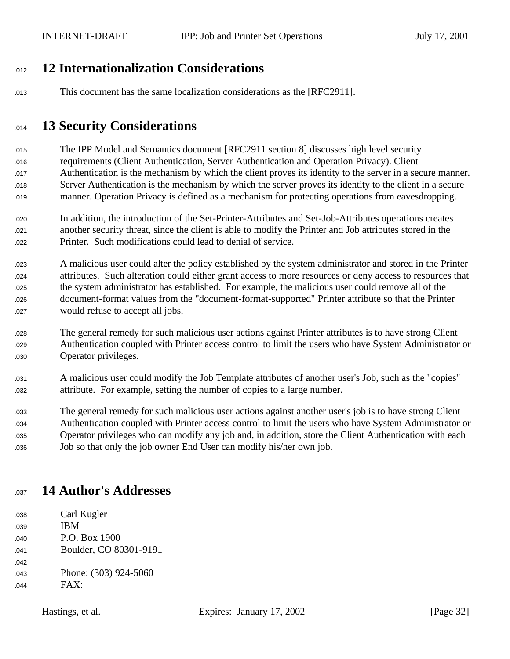# **12 Internationalization Considerations**

This document has the same localization considerations as the [RFC2911].

# **13 Security Considerations**

 The IPP Model and Semantics document [RFC2911 section 8] discusses high level security requirements (Client Authentication, Server Authentication and Operation Privacy). Client Authentication is the mechanism by which the client proves its identity to the server in a secure manner. Server Authentication is the mechanism by which the server proves its identity to the client in a secure manner. Operation Privacy is defined as a mechanism for protecting operations from eavesdropping.

- In addition, the introduction of the Set-Printer-Attributes and Set-Job-Attributes operations creates another security threat, since the client is able to modify the Printer and Job attributes stored in the Printer. Such modifications could lead to denial of service.
- A malicious user could alter the policy established by the system administrator and stored in the Printer attributes. Such alteration could either grant access to more resources or deny access to resources that the system administrator has established. For example, the malicious user could remove all of the document-format values from the "document-format-supported" Printer attribute so that the Printer 027 would refuse to accept all jobs.
- The general remedy for such malicious user actions against Printer attributes is to have strong Client Authentication coupled with Printer access control to limit the users who have System Administrator or 030 Operator privileges.
- A malicious user could modify the Job Template attributes of another user's Job, such as the "copies" attribute. For example, setting the number of copies to a large number.

 The general remedy for such malicious user actions against another user's job is to have strong Client Authentication coupled with Printer access control to limit the users who have System Administrator or Operator privileges who can modify any job and, in addition, store the Client Authentication with each Job so that only the job owner End User can modify his/her own job.

# **14 Author's Addresses**

038 Carl Kugler **IBM** 040 P.O. Box 1900 041 Boulder, CO 80301-9191 043 Phone: (303) 924-5060  $0.44$  FAX: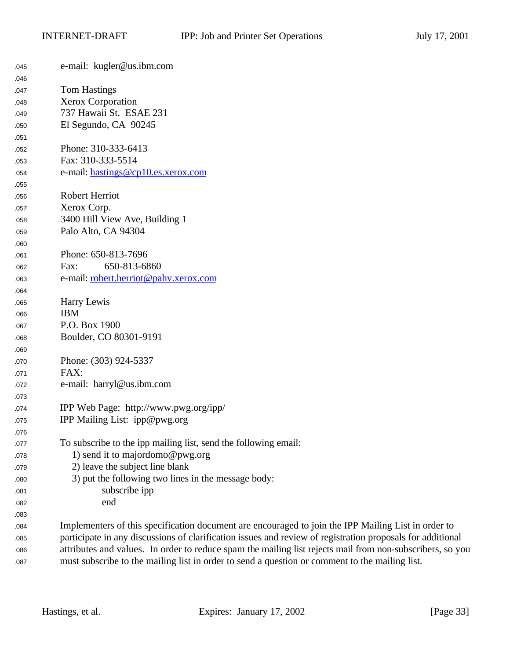| 045 | e-mail: kugler@us.ibm.com                                                                                  |
|-----|------------------------------------------------------------------------------------------------------------|
| 046 |                                                                                                            |
| 047 | <b>Tom Hastings</b>                                                                                        |
| 048 | <b>Xerox Corporation</b>                                                                                   |
| 049 | 737 Hawaii St. ESAE 231                                                                                    |
| 050 | El Segundo, CA 90245                                                                                       |
| 051 |                                                                                                            |
| 052 | Phone: 310-333-6413                                                                                        |
| 053 | Fax: 310-333-5514                                                                                          |
| 054 | e-mail: hastings@cp10.es.xerox.com                                                                         |
| 055 |                                                                                                            |
| 056 | Robert Herriot                                                                                             |
| 057 | Xerox Corp.                                                                                                |
| 058 | 3400 Hill View Ave, Building 1                                                                             |
| 059 | Palo Alto, CA 94304                                                                                        |
| 060 |                                                                                                            |
| 061 | Phone: 650-813-7696                                                                                        |
| 062 | 650-813-6860<br>Fax:                                                                                       |
| 063 | e-mail: robert.herriot@pahv.xerox.com                                                                      |
| 064 |                                                                                                            |
| 065 | Harry Lewis                                                                                                |
| 066 | <b>IBM</b>                                                                                                 |
| 067 | P.O. Box 1900                                                                                              |
| 068 | Boulder, CO 80301-9191                                                                                     |
| 069 |                                                                                                            |
| 070 | Phone: (303) 924-5337                                                                                      |
| 071 | FAX:                                                                                                       |
| 072 | e-mail: harryl@us.ibm.com                                                                                  |
| 073 |                                                                                                            |
| 074 | IPP Web Page: http://www.pwg.org/ipp/                                                                      |
| 075 | IPP Mailing List: ipp@pwg.org                                                                              |
| 076 |                                                                                                            |
| 077 | To subscribe to the ipp mailing list, send the following email:                                            |
| 078 | 1) send it to majordomo@pwg.org                                                                            |
| 079 | 2) leave the subject line blank                                                                            |
| 080 | 3) put the following two lines in the message body:                                                        |
| 081 | subscribe ipp                                                                                              |
| 082 | end                                                                                                        |
| 083 |                                                                                                            |
| 084 | Implementers of this specification document are encouraged to join the IPP Mailing List in order to        |
| 085 | participate in any discussions of clarification issues and review of registration proposals for additional |
| 086 | attributes and values. In order to reduce spam the mailing list rejects mail from non-subscribers, so you  |
| 087 | must subscribe to the mailing list in order to send a question or comment to the mailing list.             |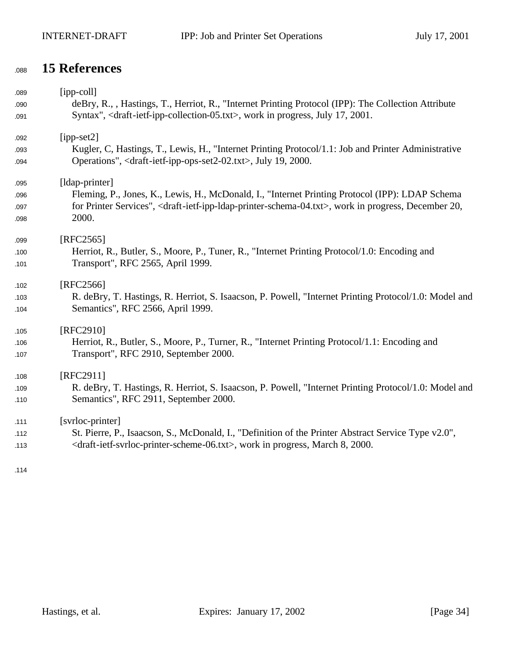# **15 References**

| 089 | $[ipp-coll]$                                                                                                                                   |
|-----|------------------------------------------------------------------------------------------------------------------------------------------------|
| 090 | deBry, R., , Hastings, T., Herriot, R., "Internet Printing Protocol (IPP): The Collection Attribute                                            |
| 091 | Syntax", <draft-ietf-ipp-collection-05.txt>, work in progress, July 17, 2001.</draft-ietf-ipp-collection-05.txt>                               |
| 092 | $[ipp-set2]$                                                                                                                                   |
| 093 | Kugler, C, Hastings, T., Lewis, H., "Internet Printing Protocol/1.1: Job and Printer Administrative                                            |
| 094 | Operations", <draft-ietf-ipp-ops-set2-02.txt>, July 19, 2000.</draft-ietf-ipp-ops-set2-02.txt>                                                 |
| 095 | [ldap-printer]                                                                                                                                 |
| 096 | Fleming, P., Jones, K., Lewis, H., McDonald, I., "Internet Printing Protocol (IPP): LDAP Schema                                                |
| 097 | for Printer Services", <draft-ietf-ipp-idap-printer-schema-04.txt>, work in progress, December 20,</draft-ietf-ipp-idap-printer-schema-04.txt> |
| 098 | 2000.                                                                                                                                          |
| 099 | $[RFC2565]$                                                                                                                                    |
| 100 | Herriot, R., Butler, S., Moore, P., Tuner, R., "Internet Printing Protocol/1.0: Encoding and                                                   |
| 101 | Transport", RFC 2565, April 1999.                                                                                                              |
| 102 | [RFC2566]                                                                                                                                      |
| 103 | R. deBry, T. Hastings, R. Herriot, S. Isaacson, P. Powell, "Internet Printing Protocol/1.0: Model and                                          |
| 104 | Semantics", RFC 2566, April 1999.                                                                                                              |
| 105 | [RFC2910]                                                                                                                                      |
| 106 | Herriot, R., Butler, S., Moore, P., Turner, R., "Internet Printing Protocol/1.1: Encoding and                                                  |
| 107 | Transport", RFC 2910, September 2000.                                                                                                          |
| 108 | [RFC2911]                                                                                                                                      |
| 109 | R. deBry, T. Hastings, R. Herriot, S. Isaacson, P. Powell, "Internet Printing Protocol/1.0: Model and                                          |
| 110 | Semantics", RFC 2911, September 2000.                                                                                                          |
| 111 | [svrloc-printer]                                                                                                                               |
| 112 | St. Pierre, P., Isaacson, S., McDonald, I., "Definition of the Printer Abstract Service Type v2.0",                                            |
| 113 | <draft-ietf-svrloc-printer-scheme-06.txt>, work in progress, March 8, 2000.</draft-ietf-svrloc-printer-scheme-06.txt>                          |
|     |                                                                                                                                                |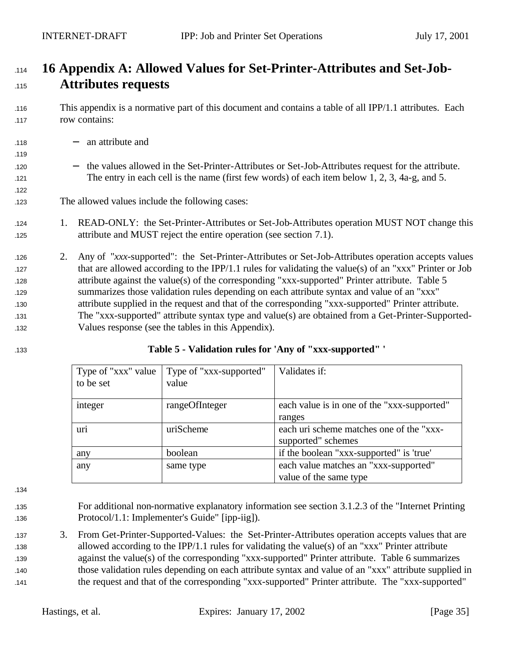# <sup>1114</sup> **16 Appendix A: Allowed Values for Set-Printer-Attributes and Set-Job-**<sup>1115</sup> **Attributes requests**

- <sup>1116</sup> This appendix is a normative part of this document and contains a table of all IPP/1.1 attributes. Each 117 row contains:
- <sup>1118</sup> − an attribute and
- <sup>1120</sup> − the values allowed in the Set-Printer-Attributes or Set-Job-Attributes request for the attribute. 121 The entry in each cell is the name (first few words) of each item below 1, 2, 3, 4a-g, and 5.
- 123 The allowed values include the following cases:
- 124 124 1. READ-ONLY: the Set-Printer-Attributes or Set-Job-Attributes operation MUST NOT change this 125 attribute and MUST reject the entire operation (see section 7.1).
- <sup>1126</sup> 2. Any of "*xxx*-supported": the Set-Printer-Attributes or Set-Job-Attributes operation accepts values 127 that are allowed according to the IPP/1.1 rules for validating the value(s) of an "xxx" Printer or Job 128 attribute against the value(s) of the corresponding "xxx-supported" Printer attribute. Table 5 <sup>1129</sup> summarizes those validation rules depending on each attribute syntax and value of an "xxx" <sup>1130</sup> attribute supplied in the request and that of the corresponding "xxx-supported" Printer attribute. <sup>1131</sup> The "xxx-supported" attribute syntax type and value(s) are obtained from a Get-Printer-Supported-<sup>1132</sup> Values response (see the tables in this Appendix).
- 

1119

122

#### <sup>1133</sup> **Table 5 - Validation rules for 'Any of "xxx-supported" '**

| Type of "xxx" value | Type of "xxx-supported" | Validates if:                               |
|---------------------|-------------------------|---------------------------------------------|
| to be set           | value                   |                                             |
|                     |                         |                                             |
| integer             | rangeOfInteger          | each value is in one of the "xxx-supported" |
|                     |                         | ranges                                      |
| uri                 | uriScheme               | each uri scheme matches one of the "xxx-    |
|                     |                         | supported" schemes                          |
| any                 | boolean                 | if the boolean "xxx-supported" is 'true'    |
| any                 | same type               | each value matches an "xxx-supported"       |
|                     |                         | value of the same type                      |

1134

<sup>1135</sup> For additional non-normative explanatory information see section 3.1.2.3 of the "Internet Printing <sup>1136</sup> Protocol/1.1: Implementer's Guide" [ipp-iig]).

 3. From Get-Printer-Supported-Values: the Set-Printer-Attributes operation accepts values that are allowed according to the IPP/1.1 rules for validating the value(s) of an "xxx" Printer attribute against the value(s) of the corresponding "xxx-supported" Printer attribute. Table 6 summarizes those validation rules depending on each attribute syntax and value of an "xxx" attribute supplied in the request and that of the corresponding "xxx-supported" Printer attribute. The "xxx-supported"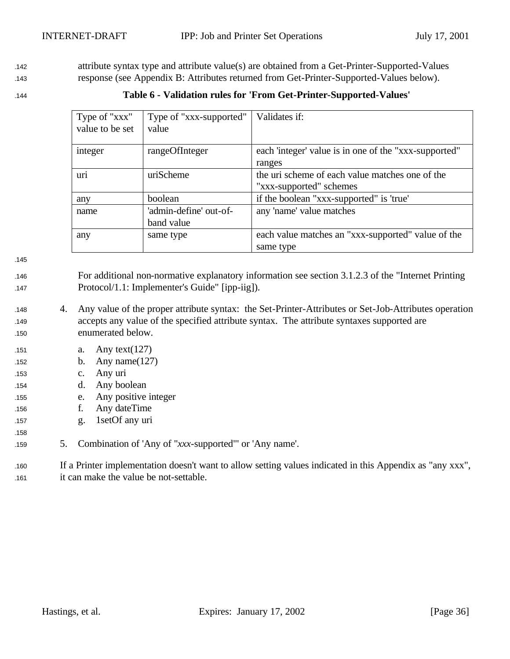<sup>1142</sup> attribute syntax type and attribute value(s) are obtained from a Get-Printer-Supported-Values <sup>1143</sup> response (see Appendix B: Attributes returned from Get-Printer-Supported-Values below).

<sup>1144</sup> **Table 6 - Validation rules for 'From Get-Printer-Supported-Values'**

| Type of "xxx"   | Type of "xxx-supported" | Validates if:                                         |
|-----------------|-------------------------|-------------------------------------------------------|
| value to be set | value                   |                                                       |
| integer         | rangeOfInteger          | each 'integer' value is in one of the "xxx-supported" |
|                 |                         | ranges                                                |
| uri             | uriScheme               | the uri scheme of each value matches one of the       |
|                 |                         | "xxx-supported" schemes                               |
| any             | boolean                 | if the boolean "xxx-supported" is 'true'              |
| name            | 'admin-define' out-of-  | any 'name' value matches                              |
|                 | band value              |                                                       |
| any             | same type               | each value matches an "xxx-supported" value of the    |
|                 |                         | same type                                             |

1145

158

- <sup>1146</sup> For additional non-normative explanatory information see section 3.1.2.3 of the "Internet Printing 147 Protocol/1.1: Implementer's Guide" [ipp-iig]).
- <sup>1148</sup> 4. Any value of the proper attribute syntax: the Set-Printer-Attributes or Set-Job-Attributes operation <sup>1149</sup> accepts any value of the specified attribute syntax. The attribute syntaxes supported are <sup>1150</sup> enumerated below.
- 151 a. Any text $(127)$
- 152 **b.** Any name(127)
- <sup>1153</sup> c. Any uri
- <sup>1154</sup> d. Any boolean
- <sup>1155</sup> e. Any positive integer
- <sup>1156</sup> f. Any dateTime
- <sup>1157</sup> g. 1setOf any uri
- <sup>1159</sup> 5. Combination of 'Any of "*xxx*-supported"' or 'Any name'.

<sup>1160</sup> If a Printer implementation doesn't want to allow setting values indicated in this Appendix as "any xxx", <sup>1161</sup> it can make the value be not-settable.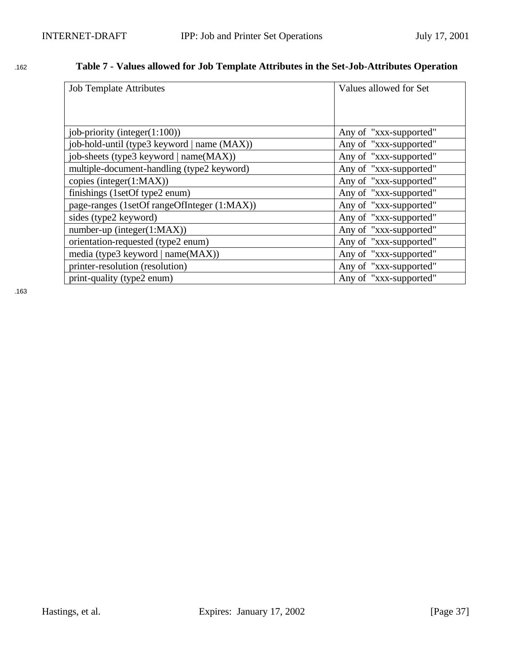# <sup>1162</sup> **Table 7 - Values allowed for Job Template Attributes in the Set-Job-Attributes Operation**

| <b>Job Template Attributes</b>              | Values allowed for Set |
|---------------------------------------------|------------------------|
|                                             |                        |
|                                             |                        |
| job-priority (integer(1:100))               | Any of "xxx-supported" |
| job-hold-until (type3 keyword   name (MAX)) | Any of "xxx-supported" |
| job-sheets (type3 keyword   name(MAX))      | Any of "xxx-supported" |
| multiple-document-handling (type2 keyword)  | Any of "xxx-supported" |
| copies (integer(1:MAX))                     | Any of "xxx-supported" |
| finishings (1setOf type2 enum)              | Any of "xxx-supported" |
| page-ranges (1setOf rangeOfInteger (1:MAX)) | Any of "xxx-supported" |
| sides (type2 keyword)                       | Any of "xxx-supported" |
| $number-up (integer(1:MAX))$                | Any of "xxx-supported" |
| orientation-requested (type2 enum)          | Any of "xxx-supported" |
| media (type3 keyword   name(MAX))           | Any of "xxx-supported" |
| printer-resolution (resolution)             | Any of "xxx-supported" |
| print-quality (type2 enum)                  | Any of "xxx-supported" |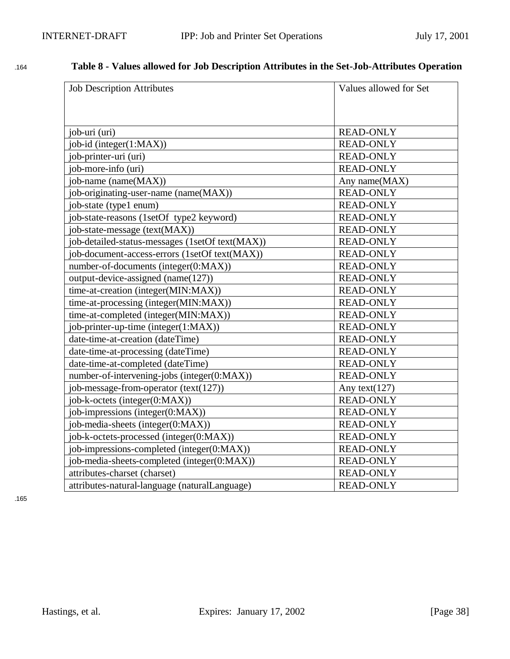| <b>Job Description Attributes</b>               | Values allowed for Set |
|-------------------------------------------------|------------------------|
|                                                 |                        |
| job-uri (uri)                                   | <b>READ-ONLY</b>       |
| job-id (integer(1:MAX))                         | <b>READ-ONLY</b>       |
| job-printer-uri (uri)                           | <b>READ-ONLY</b>       |
| job-more-info (uri)                             | <b>READ-ONLY</b>       |
| job-name (name(MAX))                            | Any name(MAX)          |
| job-originating-user-name (name(MAX))           | <b>READ-ONLY</b>       |
| job-state (type1 enum)                          | <b>READ-ONLY</b>       |
| job-state-reasons (1setOf type2 keyword)        | <b>READ-ONLY</b>       |
| job-state-message (text(MAX))                   | <b>READ-ONLY</b>       |
| job-detailed-status-messages (1setOf text(MAX)) | <b>READ-ONLY</b>       |
| job-document-access-errors (1setOf text(MAX))   | <b>READ-ONLY</b>       |
| number-of-documents (integer(0:MAX))            | <b>READ-ONLY</b>       |
| output-device-assigned (name(127))              | <b>READ-ONLY</b>       |
| time-at-creation (integer(MIN:MAX))             | <b>READ-ONLY</b>       |
| time-at-processing (integer(MIN:MAX))           | <b>READ-ONLY</b>       |
| time-at-completed (integer(MIN:MAX))            | <b>READ-ONLY</b>       |
| job-printer-up-time (integer(1:MAX))            | <b>READ-ONLY</b>       |
| date-time-at-creation (dateTime)                | <b>READ-ONLY</b>       |
| date-time-at-processing (dateTime)              | <b>READ-ONLY</b>       |
| date-time-at-completed (dateTime)               | <b>READ-ONLY</b>       |
| number-of-intervening-jobs (integer(0:MAX))     | <b>READ-ONLY</b>       |
| job-message-from-operator (text(127))           | Any text $(127)$       |
| job-k-octets (integer(0:MAX))                   | <b>READ-ONLY</b>       |
| job-impressions (integer(0:MAX))                | <b>READ-ONLY</b>       |
| job-media-sheets (integer(0:MAX))               | <b>READ-ONLY</b>       |
| job-k-octets-processed (integer(0:MAX))         | <b>READ-ONLY</b>       |
| job-impressions-completed (integer(0:MAX))      | <b>READ-ONLY</b>       |
| job-media-sheets-completed (integer(0:MAX))     | <b>READ-ONLY</b>       |
| attributes-charset (charset)                    | <b>READ-ONLY</b>       |
| attributes-natural-language (naturalLanguage)   | <b>READ-ONLY</b>       |

## <sup>1164</sup> **Table 8 - Values allowed for Job Description Attributes in the Set-Job-Attributes Operation**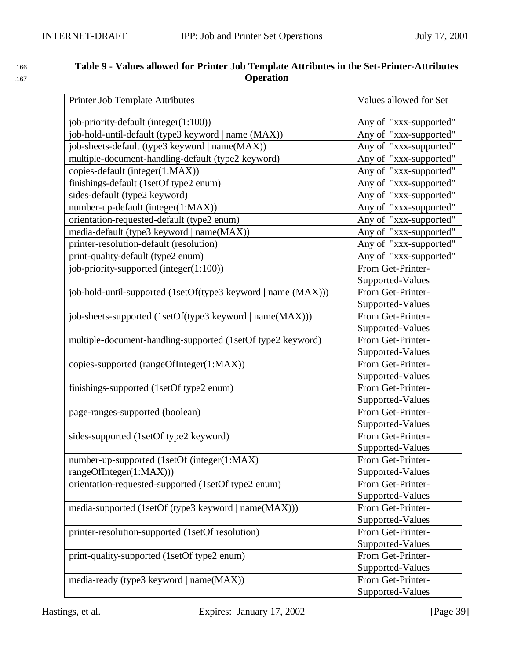| 166 | Table 9 - Values allowed for Printer Job Template Attributes in the Set-Printer-Attributes |
|-----|--------------------------------------------------------------------------------------------|
| 167 | <b>Operation</b>                                                                           |

| Printer Job Template Attributes                               | Values allowed for Set |
|---------------------------------------------------------------|------------------------|
| job-priority-default (integer(1:100))                         | Any of "xxx-supported" |
| job-hold-until-default (type3 keyword   name (MAX))           | Any of "xxx-supported" |
| job-sheets-default (type3 keyword   name(MAX))                | Any of "xxx-supported" |
| multiple-document-handling-default (type2 keyword)            | Any of "xxx-supported" |
| copies-default (integer(1:MAX))                               | Any of "xxx-supported" |
| finishings-default (1setOf type2 enum)                        | Any of "xxx-supported" |
| sides-default (type2 keyword)                                 | Any of "xxx-supported" |
| number-up-default (integer(1:MAX))                            | Any of "xxx-supported" |
| orientation-requested-default (type2 enum)                    | Any of "xxx-supported" |
| media-default (type3 keyword   name(MAX))                     | Any of "xxx-supported" |
| printer-resolution-default (resolution)                       | Any of "xxx-supported" |
| print-quality-default (type2 enum)                            | Any of "xxx-supported" |
| job-priority-supported (integer(1:100))                       | From Get-Printer-      |
|                                                               | Supported-Values       |
| job-hold-until-supported (1setOf(type3 keyword   name (MAX))) | From Get-Printer-      |
|                                                               | Supported-Values       |
| job-sheets-supported (1setOf(type3 keyword   name(MAX)))      | From Get-Printer-      |
|                                                               | Supported-Values       |
| multiple-document-handling-supported (1setOf type2 keyword)   | From Get-Printer-      |
|                                                               | Supported-Values       |
| copies-supported (rangeOfInteger(1:MAX))                      | From Get-Printer-      |
|                                                               | Supported-Values       |
| finishings-supported (1setOf type2 enum)                      | From Get-Printer-      |
|                                                               | Supported-Values       |
| page-ranges-supported (boolean)                               | From Get-Printer-      |
|                                                               | Supported-Values       |
| sides-supported (1setOf type2 keyword)                        | From Get-Printer-      |
|                                                               | Supported-Values       |
| number-up-supported (1setOf (integer(1:MAX))                  | From Get-Printer-      |
| rangeOfInteger(1:MAX)))                                       | Supported-Values       |
| orientation-requested-supported (1setOf type2 enum)           | From Get-Printer-      |
|                                                               | Supported-Values       |
| media-supported (1setOf (type3 keyword   name(MAX)))          | From Get-Printer-      |
|                                                               | Supported-Values       |
| printer-resolution-supported (1setOf resolution)              | From Get-Printer-      |
|                                                               | Supported-Values       |
| print-quality-supported (1setOf type2 enum)                   | From Get-Printer-      |
|                                                               | Supported-Values       |
| media-ready (type3 keyword   name(MAX))                       | From Get-Printer-      |
|                                                               | Supported-Values       |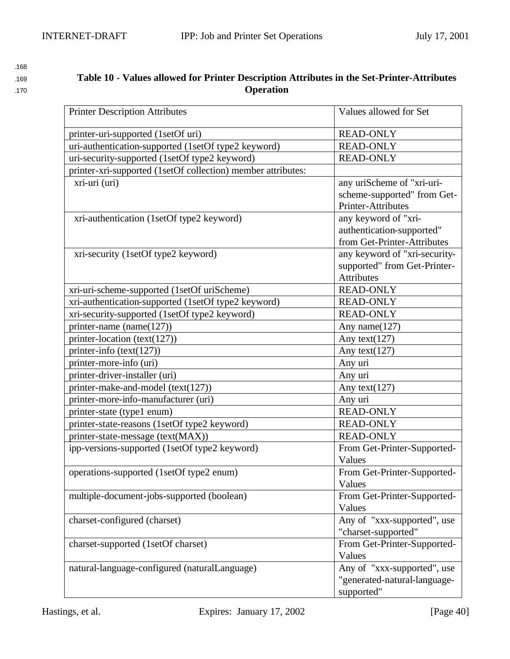## <sup>1169</sup> **Table 10 - Values allowed for Printer Description Attributes in the Set-Printer-Attributes**  170 **Operation**

| 168 |
|-----|
| 169 |

| <b>Printer Description Attributes</b>                        | Values allowed for Set        |
|--------------------------------------------------------------|-------------------------------|
| printer-uri-supported (1setOf uri)                           | <b>READ-ONLY</b>              |
| uri-authentication-supported (1setOf type2 keyword)          | <b>READ-ONLY</b>              |
| uri-security-supported (1setOf type2 keyword)                | <b>READ-ONLY</b>              |
| printer-xri-supported (1setOf collection) member attributes: |                               |
| xri-uri (uri)                                                | any uriScheme of "xri-uri-    |
|                                                              | scheme-supported" from Get-   |
|                                                              | Printer-Attributes            |
| xri-authentication (1setOf type2 keyword)                    | any keyword of "xri-          |
|                                                              | authentication-supported"     |
|                                                              | from Get-Printer-Attributes   |
| xri-security (1setOf type2 keyword)                          | any keyword of "xri-security- |
|                                                              | supported" from Get-Printer-  |
|                                                              | <b>Attributes</b>             |
| xri-uri-scheme-supported (1setOf uriScheme)                  | <b>READ-ONLY</b>              |
| xri-authentication-supported (1setOf type2 keyword)          | <b>READ-ONLY</b>              |
| xri-security-supported (1setOf type2 keyword)                | <b>READ-ONLY</b>              |
| printer-name (name(127))                                     | Any name $(127)$              |
| printer-location (text(127))                                 | Any text $(127)$              |
| printer-info $(text(127))$                                   | Any text $(127)$              |
| printer-more-info (uri)                                      | Any uri                       |
| printer-driver-installer (uri)                               | Any uri                       |
| printer-make-and-model (text(127))                           | Any text $(127)$              |
| printer-more-info-manufacturer (uri)                         | Any uri                       |
| printer-state (type1 enum)                                   | <b>READ-ONLY</b>              |
| printer-state-reasons (1setOf type2 keyword)                 | <b>READ-ONLY</b>              |
| printer-state-message (text(MAX))                            | <b>READ-ONLY</b>              |
| ipp-versions-supported (1setOf type2 keyword)                | From Get-Printer-Supported-   |
|                                                              | Values                        |
| operations-supported (1setOf type2 enum)                     | From Get-Printer-Supported-   |
|                                                              | Values                        |
| multiple-document-jobs-supported (boolean)                   | From Get-Printer-Supported-   |
|                                                              | Values                        |
| charset-configured (charset)                                 | Any of "xxx-supported", use   |
|                                                              | "charset-supported"           |
| charset-supported (1setOf charset)                           | From Get-Printer-Supported-   |
|                                                              | Values                        |
| natural-language-configured (naturalLanguage)                | Any of "xxx-supported", use   |
|                                                              | "generated-natural-language-  |
|                                                              | supported"                    |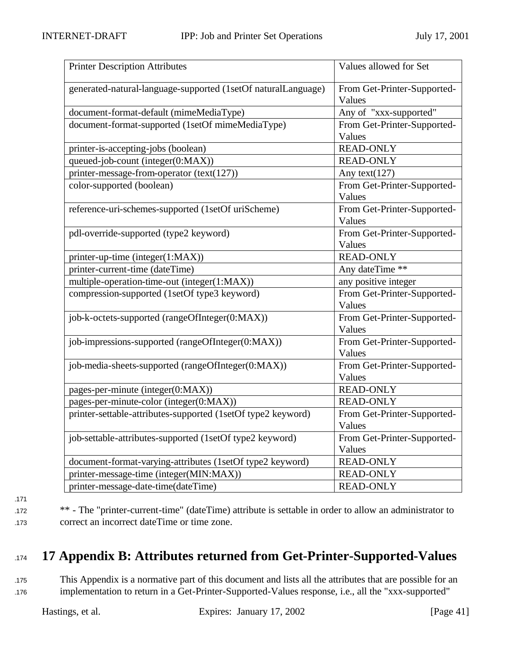| <b>Printer Description Attributes</b>                         | Values allowed for Set                |
|---------------------------------------------------------------|---------------------------------------|
| generated-natural-language-supported (1setOf naturalLanguage) | From Get-Printer-Supported-<br>Values |
| document-format-default (mimeMediaType)                       | Any of "xxx-supported"                |
| document-format-supported (1setOf mimeMediaType)              | From Get-Printer-Supported-           |
|                                                               | Values                                |
| printer-is-accepting-jobs (boolean)                           | <b>READ-ONLY</b>                      |
| queued-job-count (integer(0:MAX))                             | <b>READ-ONLY</b>                      |
| printer-message-from-operator (text(127))                     | Any text $(127)$                      |
| color-supported (boolean)                                     | From Get-Printer-Supported-           |
|                                                               | Values                                |
| reference-uri-schemes-supported (1setOf uriScheme)            | From Get-Printer-Supported-           |
|                                                               | Values                                |
| pdl-override-supported (type2 keyword)                        | From Get-Printer-Supported-           |
|                                                               | Values                                |
| printer-up-time (integer(1:MAX))                              | <b>READ-ONLY</b>                      |
| printer-current-time (dateTime)                               | Any dateTime **                       |
| multiple-operation-time-out (integer(1:MAX))                  | any positive integer                  |
| compression-supported (1setOf type3 keyword)                  | From Get-Printer-Supported-           |
|                                                               | Values                                |
| job-k-octets-supported (rangeOfInteger(0:MAX))                | From Get-Printer-Supported-           |
|                                                               | Values                                |
| job-impressions-supported (rangeOfInteger(0:MAX))             | From Get-Printer-Supported-           |
|                                                               | Values                                |
| job-media-sheets-supported (rangeOfInteger(0:MAX))            | From Get-Printer-Supported-           |
|                                                               | Values                                |
| pages-per-minute (integer(0:MAX))                             | <b>READ-ONLY</b>                      |
| pages-per-minute-color (integer(0:MAX))                       | <b>READ-ONLY</b>                      |
| printer-settable-attributes-supported (1setOf type2 keyword)  | From Get-Printer-Supported-           |
|                                                               | Values                                |
| job-settable-attributes-supported (1setOf type2 keyword)      | From Get-Printer-Supported-           |
|                                                               | Values                                |
| document-format-varying-attributes (1setOf type2 keyword)     | <b>READ-ONLY</b>                      |
| printer-message-time (integer(MIN:MAX))                       | <b>READ-ONLY</b>                      |
| printer-message-date-time(dateTime)                           | <b>READ-ONLY</b>                      |

- 1171
- 

<sup>1172</sup> \*\* - The "printer-current-time" (dateTime) attribute is settable in order to allow an administrator to 173 correct an incorrect dateTime or time zone.

# <sup>1174</sup> **17 Appendix B: Attributes returned from Get-Printer-Supported-Values**

175 This Appendix is a normative part of this document and lists all the attributes that are possible for an <sup>1176</sup> implementation to return in a Get-Printer-Supported-Values response, i.e., all the "xxx-supported"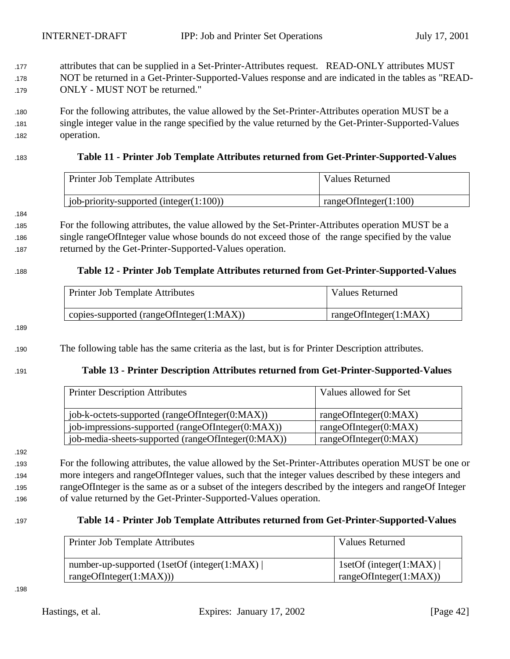- 177 attributes that can be supplied in a Set-Printer-Attributes request. READ-ONLY attributes MUST 178 NOT be returned in a Get-Printer-Supported-Values response and are indicated in the tables as "READ-<sup>1179</sup> ONLY - MUST NOT be returned."
- <sup>1180</sup> For the following attributes, the value allowed by the Set-Printer-Attributes operation MUST be a 181 single integer value in the range specified by the value returned by the Get-Printer-Supported-Values <sup>1182</sup> operation.

#### <sup>1183</sup> **Table 11 - Printer Job Template Attributes returned from Get-Printer-Supported-Values**

| Printer Job Template Attributes               | Values Returned          |
|-----------------------------------------------|--------------------------|
| $\mu$ job-priority-supported (integer(1:100)) | rangeOfInteger $(1:100)$ |

184

<sup>1185</sup> For the following attributes, the value allowed by the Set-Printer-Attributes operation MUST be a <sup>1186</sup> single rangeOfInteger value whose bounds do not exceed those of the range specified by the value 187 returned by the Get-Printer-Supported-Values operation.

#### <sup>1188</sup> **Table 12 - Printer Job Template Attributes returned from Get-Printer-Supported-Values**

| Printer Job Template Attributes          | <b>Values Returned</b> |
|------------------------------------------|------------------------|
| copies-supported (rangeOfInteger(1:MAX)) | rangeOfInteger(1:MAX)  |

189

<sup>1190</sup> The following table has the same criteria as the last, but is for Printer Description attributes.

#### <sup>1191</sup> **Table 13 - Printer Description Attributes returned from Get-Printer-Supported-Values**

| <b>Printer Description Attributes</b>              | Values allowed for Set |
|----------------------------------------------------|------------------------|
| job-k-octets-supported (rangeOfInteger(0:MAX))     | rangeOfInteger(0:MAX)  |
| job-impressions-supported (rangeOfInteger(0:MAX))  | rangeOfInteger(0:MAX)  |
| job-media-sheets-supported (rangeOfInteger(0:MAX)) | rangeOfInteger(0:MAX)  |

192

 For the following attributes, the value allowed by the Set-Printer-Attributes operation MUST be one or more integers and rangeOfInteger values, such that the integer values described by these integers and rangeOfInteger is the same as or a subset of the integers described by the integers and rangeOf Integer of value returned by the Get-Printer-Supported-Values operation.

#### <sup>1197</sup> **Table 14 - Printer Job Template Attributes returned from Get-Printer-Supported-Values**

| <b>Printer Job Template Attributes</b>       | <b>Values Returned</b>  |
|----------------------------------------------|-------------------------|
| number-up-supported (1setOf (integer(1:MAX)) | 1setOf (integer(1:MAX)) |
| rangeOfInteger(1:MAX))                       | rangeOfInteger(1:MAX))  |

1198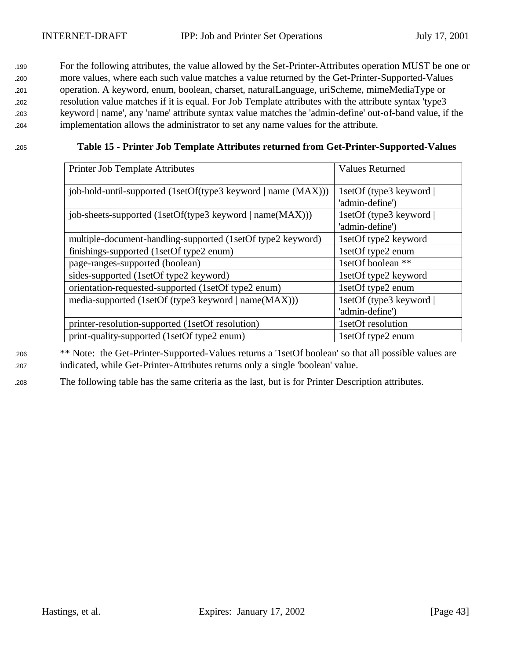For the following attributes, the value allowed by the Set-Printer-Attributes operation MUST be one or more values, where each such value matches a value returned by the Get-Printer-Supported-Values operation. A keyword, enum, boolean, charset, naturalLanguage, uriScheme, mimeMediaType or resolution value matches if it is equal. For Job Template attributes with the attribute syntax 'type3 keyword | name', any 'name' attribute syntax value matches the 'admin-define' out-of-band value, if the implementation allows the administrator to set any name values for the attribute.

#### <sup>1205</sup> **Table 15 - Printer Job Template Attributes returned from Get-Printer-Supported-Values**

| Printer Job Template Attributes                               | <b>Values Returned</b>                     |
|---------------------------------------------------------------|--------------------------------------------|
| job-hold-until-supported (1setOf(type3 keyword   name (MAX))) | 1setOf (type3 keyword)<br>'admin-define')  |
| job-sheets-supported (1setOf(type3 keyword   name(MAX)))      | 1setOf (type3 keyword  <br>'admin-define') |
| multiple-document-handling-supported (1setOf type2 keyword)   | 1setOf type2 keyword                       |
| finishings-supported (1setOf type2 enum)                      | 1setOf type2 enum                          |
| page-ranges-supported (boolean)                               | 1setOf boolean **                          |
| sides-supported (1setOf type2 keyword)                        | 1setOf type2 keyword                       |
| orientation-requested-supported (1setOf type2 enum)           | 1setOf type2 enum                          |
| media-supported (1setOf (type3 keyword   name(MAX)))          | 1setOf (type3 keyword  <br>'admin-define') |
| printer-resolution-supported (1setOf resolution)              | 1setOf resolution                          |
| print-quality-supported (1setOf type2 enum)                   | 1setOf type2 enum                          |

<sup>1206</sup> \*\* Note: the Get-Printer-Supported-Values returns a '1setOf boolean' so that all possible values are <sup>1207</sup> indicated, while Get-Printer-Attributes returns only a single 'boolean' value.

<sup>1208</sup> The following table has the same criteria as the last, but is for Printer Description attributes.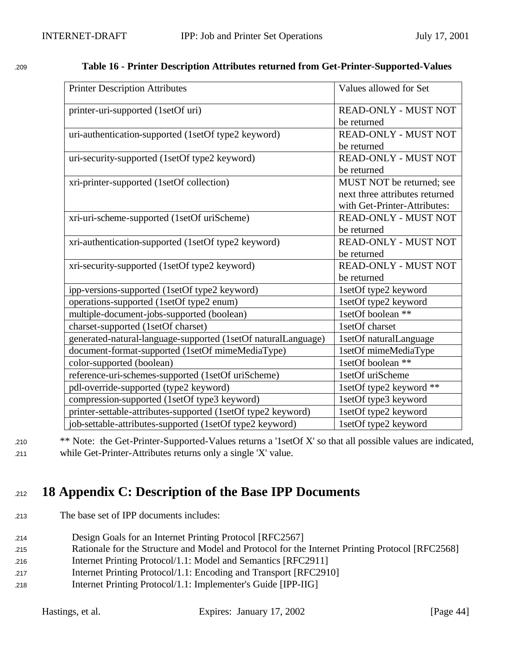| <b>Printer Description Attributes</b>                         | Values allowed for Set         |
|---------------------------------------------------------------|--------------------------------|
| printer-uri-supported (1setOf uri)                            | <b>READ-ONLY - MUST NOT</b>    |
|                                                               | be returned                    |
| uri-authentication-supported (1setOf type2 keyword)           | READ-ONLY - MUST NOT           |
|                                                               | be returned                    |
| uri-security-supported (1setOf type2 keyword)                 | READ-ONLY - MUST NOT           |
|                                                               | be returned                    |
| xri-printer-supported (1setOf collection)                     | MUST NOT be returned; see      |
|                                                               | next three attributes returned |
|                                                               | with Get-Printer-Attributes:   |
| xri-uri-scheme-supported (1setOf uriScheme)                   | READ-ONLY - MUST NOT           |
|                                                               | be returned                    |
| xri-authentication-supported (1setOf type2 keyword)           | READ-ONLY - MUST NOT           |
|                                                               | be returned                    |
| xri-security-supported (1setOf type2 keyword)                 | READ-ONLY - MUST NOT           |
|                                                               | be returned                    |
| ipp-versions-supported (1setOf type2 keyword)                 | 1setOf type2 keyword           |
| operations-supported (1setOf type2 enum)                      | 1setOf type2 keyword           |
| multiple-document-jobs-supported (boolean)                    | 1setOf boolean **              |
| charset-supported (1setOf charset)                            | 1setOf charset                 |
| generated-natural-language-supported (1setOf naturalLanguage) | 1setOf naturalLanguage         |
| document-format-supported (1setOf mimeMediaType)              | 1setOf mimeMediaType           |
| color-supported (boolean)                                     | 1setOf boolean **              |
| reference-uri-schemes-supported (1setOf uriScheme)            | 1setOf uriScheme               |
| pdl-override-supported (type2 keyword)                        | 1setOf type2 keyword **        |
| compression-supported (1setOf type3 keyword)                  | 1setOf type3 keyword           |
| printer-settable-attributes-supported (1setOf type2 keyword)  | 1setOf type2 keyword           |
| job-settable-attributes-supported (1setOf type2 keyword)      | 1setOf type2 keyword           |

### <sup>1209</sup> **Table 16 - Printer Description Attributes returned from Get-Printer-Supported-Values**

<sup>1210</sup> \*\* Note: the Get-Printer-Supported-Values returns a '1setOf X' so that all possible values are indicated, <sup>1211</sup> while Get-Printer-Attributes returns only a single 'X' value.

# <sup>1212</sup> **18 Appendix C: Description of the Base IPP Documents**

- <sup>1213</sup> The base set of IPP documents includes:
- <sup>1214</sup> Design Goals for an Internet Printing Protocol [RFC2567]
- <sup>1215</sup> Rationale for the Structure and Model and Protocol for the Internet Printing Protocol [RFC2568]
- <sup>1216</sup> Internet Printing Protocol/1.1: Model and Semantics [RFC2911]
- <sup>1217</sup> Internet Printing Protocol/1.1: Encoding and Transport [RFC2910]
- <sup>1218</sup> Internet Printing Protocol/1.1: Implementer's Guide [IPP-IIG]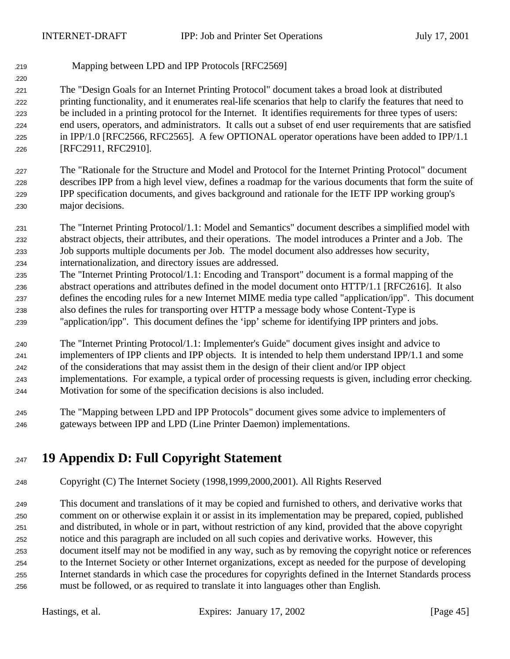Mapping between LPD and IPP Protocols [RFC2569]

 The "Design Goals for an Internet Printing Protocol" document takes a broad look at distributed printing functionality, and it enumerates real-life scenarios that help to clarify the features that need to be included in a printing protocol for the Internet. It identifies requirements for three types of users: end users, operators, and administrators. It calls out a subset of end user requirements that are satisfied 225 in IPP/1.0 [RFC2566, RFC2565]. A few OPTIONAL operator operations have been added to IPP/1.1 [RFC2911, RFC2910].

- The "Rationale for the Structure and Model and Protocol for the Internet Printing Protocol" document describes IPP from a high level view, defines a roadmap for the various documents that form the suite of IPP specification documents, and gives background and rationale for the IETF IPP working group's major decisions.
- The "Internet Printing Protocol/1.1: Model and Semantics" document describes a simplified model with abstract objects, their attributes, and their operations. The model introduces a Printer and a Job. The Job supports multiple documents per Job. The model document also addresses how security, internationalization, and directory issues are addressed.
- The "Internet Printing Protocol/1.1: Encoding and Transport" document is a formal mapping of the abstract operations and attributes defined in the model document onto HTTP/1.1 [RFC2616]. It also defines the encoding rules for a new Internet MIME media type called "application/ipp". This document also defines the rules for transporting over HTTP a message body whose Content-Type is "application/ipp". This document defines the 'ipp' scheme for identifying IPP printers and jobs.
- The "Internet Printing Protocol/1.1: Implementer's Guide" document gives insight and advice to implementers of IPP clients and IPP objects. It is intended to help them understand IPP/1.1 and some of the considerations that may assist them in the design of their client and/or IPP object implementations. For example, a typical order of processing requests is given, including error checking. Motivation for some of the specification decisions is also included.
- The "Mapping between LPD and IPP Protocols" document gives some advice to implementers of gateways between IPP and LPD (Line Printer Daemon) implementations.
- **19 Appendix D: Full Copyright Statement**
- Copyright (C) The Internet Society (1998,1999,2000,2001). All Rights Reserved

 This document and translations of it may be copied and furnished to others, and derivative works that comment on or otherwise explain it or assist in its implementation may be prepared, copied, published and distributed, in whole or in part, without restriction of any kind, provided that the above copyright notice and this paragraph are included on all such copies and derivative works. However, this document itself may not be modified in any way, such as by removing the copyright notice or references to the Internet Society or other Internet organizations, except as needed for the purpose of developing Internet standards in which case the procedures for copyrights defined in the Internet Standards process must be followed, or as required to translate it into languages other than English.